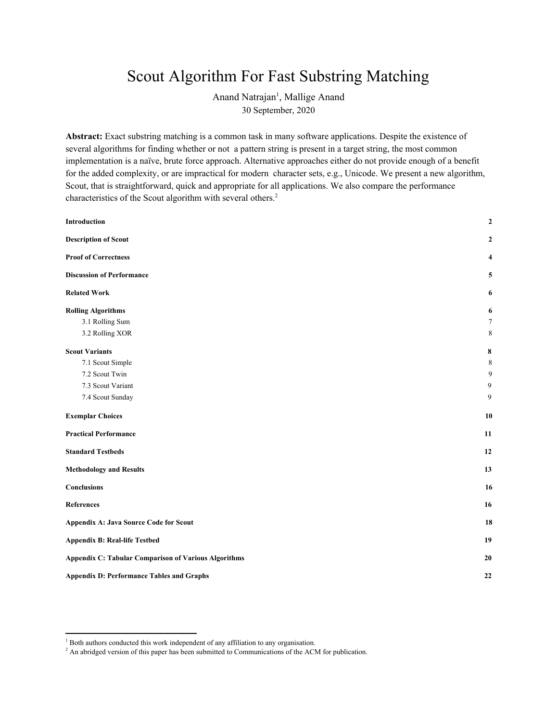# Scout Algorithm For Fast Substring Matching

Anand Natrajan<sup>1</sup>, Mallige Anand 30 September, 2020

**Abstract:** Exact substring matching is a common task in many software applications. Despite the existence of several algorithms for finding whether or not a pattern string is present in a target string, the most common implementation is a naïve, brute force approach. Alternative approaches either do not provide enough of a benefit for the added complexity, or are impractical for modern character sets, e.g., Unicode. We present a new algorithm, Scout, that is straightforward, quick and appropriate for all applications. We also compare the performance characteristics of the Scout algorithm with several others. 2

| Introduction                                                | $\boldsymbol{2}$ |
|-------------------------------------------------------------|------------------|
| <b>Description of Scout</b>                                 | $\boldsymbol{2}$ |
| <b>Proof of Correctness</b>                                 | 4                |
| <b>Discussion of Performance</b>                            | 5                |
| <b>Related Work</b>                                         | 6                |
| <b>Rolling Algorithms</b>                                   | 6                |
| 3.1 Rolling Sum                                             | $\overline{7}$   |
| 3.2 Rolling XOR                                             | 8                |
| <b>Scout Variants</b>                                       | $\pmb{8}$        |
| 7.1 Scout Simple                                            | $\,8\,$          |
| 7.2 Scout Twin                                              | 9                |
| 7.3 Scout Variant                                           | 9                |
| 7.4 Scout Sunday                                            | 9                |
| <b>Exemplar Choices</b>                                     | 10               |
| <b>Practical Performance</b>                                | 11               |
| <b>Standard Testbeds</b>                                    | 12               |
| <b>Methodology and Results</b>                              | 13               |
| Conclusions                                                 | 16               |
| References                                                  | 16               |
| <b>Appendix A: Java Source Code for Scout</b>               | 18               |
| <b>Appendix B: Real-life Testbed</b>                        | 19               |
| <b>Appendix C: Tabular Comparison of Various Algorithms</b> | 20               |
| <b>Appendix D: Performance Tables and Graphs</b>            | 22               |
|                                                             |                  |

<sup>&</sup>lt;sup>1</sup> Both authors conducted this work independent of any affiliation to any organisation.

<sup>&</sup>lt;sup>2</sup> An abridged version of this paper has been submitted to Communications of the ACM for publication.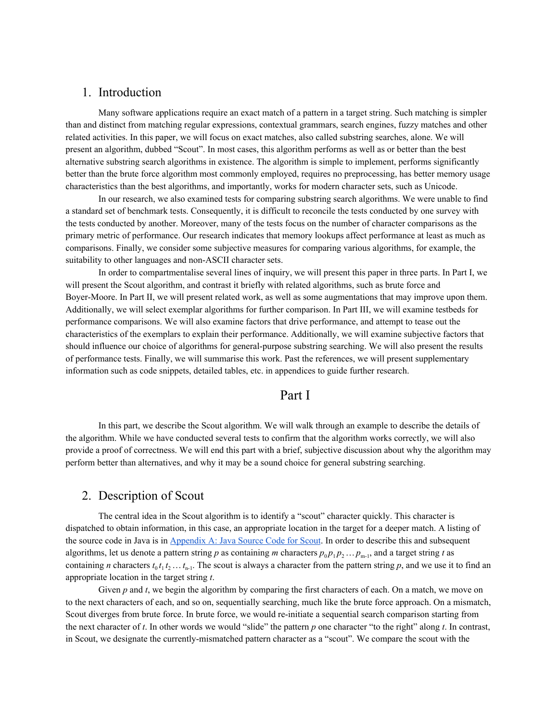## <span id="page-1-0"></span>1. Introduction

Many software applications require an exact match of a pattern in a target string. Such matching is simpler than and distinct from matching regular expressions, contextual grammars, search engines, fuzzy matches and other related activities. In this paper, we will focus on exact matches, also called substring searches, alone. We will present an algorithm, dubbed "Scout". In most cases, this algorithm performs as well as or better than the best alternative substring search algorithms in existence. The algorithm is simple to implement, performs significantly better than the brute force algorithm most commonly employed, requires no preprocessing, has better memory usage characteristics than the best algorithms, and importantly, works for modern character sets, such as Unicode.

In our research, we also examined tests for comparing substring search algorithms. We were unable to find a standard set of benchmark tests. Consequently, it is difficult to reconcile the tests conducted by one survey with the tests conducted by another. Moreover, many of the tests focus on the number of character comparisons as the primary metric of performance. Our research indicates that memory lookups affect performance at least as much as comparisons. Finally, we consider some subjective measures for comparing various algorithms, for example, the suitability to other languages and non-ASCII character sets.

In order to compartmentalise several lines of inquiry, we will present this paper in three parts. In Part I, we will present the Scout algorithm, and contrast it briefly with related algorithms, such as brute force and Boyer-Moore. In Part II, we will present related work, as well as some augmentations that may improve upon them. Additionally, we will select exemplar algorithms for further comparison. In Part III, we will examine testbeds for performance comparisons. We will also examine factors that drive performance, and attempt to tease out the characteristics of the exemplars to explain their performance. Additionally, we will examine subjective factors that should influence our choice of algorithms for general-purpose substring searching. We will also present the results of performance tests. Finally, we will summarise this work. Past the references, we will present supplementary information such as code snippets, detailed tables, etc. in appendices to guide further research.

## Part I

In this part, we describe the Scout algorithm. We will walk through an example to describe the details of the algorithm. While we have conducted several tests to confirm that the algorithm works correctly, we will also provide a proof of correctness. We will end this part with a brief, subjective discussion about why the algorithm may perform better than alternatives, and why it may be a sound choice for general substring searching.

## <span id="page-1-1"></span>2. Description of Scout

The central idea in the Scout algorithm is to identify a "scout" character quickly. This character is dispatched to obtain information, in this case, an appropriate location in the target for a deeper match. A listing of the source code in Java is in [Appendix](#page-18-0) A: Java Source Code for Scout. In order to describe this and subsequent algorithms, let us denote a pattern string *p* as containing *m* characters  $p_0 p_1 p_2 ... p_{m-1}$ , and a target string *t* as containing *n* characters  $t_0 t_1 t_2 ... t_{n-1}$ . The scout is always a character from the pattern string *p*, and we use it to find an appropriate location in the target string *t*.

Given *p* and *t*, we begin the algorithm by comparing the first characters of each. On a match, we move on to the next characters of each, and so on, sequentially searching, much like the brute force approach. On a mismatch, Scout diverges from brute force. In brute force, we would re-initiate a sequential search comparison starting from the next character of *t*. In other words we would "slide" the pattern *p* one character "to the right" along *t*. In contrast, in Scout, we designate the currently-mismatched pattern character as a "scout". We compare the scout with the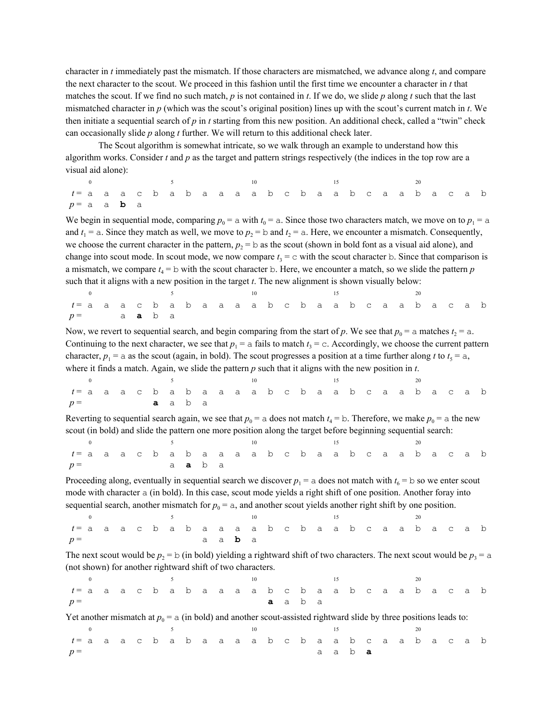character in *t* immediately past the mismatch. If those characters are mismatched, we advance along *t*, and compare the next character to the scout. We proceed in this fashion until the first time we encounter a character in *t* that matches the scout. If we find no such match, *p* is not contained in *t*. If we do, we slide *p* along *t* such that the last mismatched character in *p* (which was the scout's original position) lines up with the scout's current match in *t*. We then initiate a sequential search of *p* in *t* starting from this new position. An additional check, called a "twin" check can occasionally slide *p* along *t* further. We will return to this additional check later.

The Scout algorithm is somewhat intricate, so we walk through an example to understand how this algorithm works. Consider *t* and *p* as the target and pattern strings respectively (the indices in the top row are a visual aid alone):

| 0 5 5 10 15 20                                       |  |  |  |  |  |  |  |  |  |  |  |  |
|------------------------------------------------------|--|--|--|--|--|--|--|--|--|--|--|--|
| t= a a a c b a b a a a a b c b a a b c a a b a c a b |  |  |  |  |  |  |  |  |  |  |  |  |
| $p=a$ a <b>b</b> a                                   |  |  |  |  |  |  |  |  |  |  |  |  |

We begin in sequential mode, comparing  $p_0 = a$  with  $t_0 = a$ . Since those two characters match, we move on to  $p_1 = a$ and  $t_1 = a$ . Since they match as well, we move to  $p_2 = b$  and  $t_2 = a$ . Here, we encounter a mismatch. Consequently, we choose the current character in the pattern,  $p_2 = b$  as the scout (shown in bold font as a visual aid alone), and change into scout mode. In scout mode, we now compare  $t_3 = c$  with the scout character b. Since that comparison is a mismatch, we compare  $t_4 = b$  with the scout character b. Here, we encounter a match, so we slide the pattern  $p$ such that it aligns with a new position in the target *t*. The new alignment is shown visually below:

| t= a a a c b a b a a a a b c b a a b c a a b a c a b |  |  |  |  |  |  |  |  |  |  |  |  |
|------------------------------------------------------|--|--|--|--|--|--|--|--|--|--|--|--|
| $p =$ a <b>a</b> b a                                 |  |  |  |  |  |  |  |  |  |  |  |  |

Now, we revert to sequential search, and begin comparing from the start of p. We see that  $p_0 = a$  matches  $t_2 = a$ . Continuing to the next character, we see that  $p_1 = a$  fails to match  $t_3 = c$ . Accordingly, we choose the current pattern character,  $p_1 = a$  as the scout (again, in bold). The scout progresses a position at a time further along *t* to  $t_5 = a$ , where it finds a match. Again, we slide the pattern *p* such that it aligns with the new position in *t*.

| 0 5 10 15 20                                         |      |  |  |  |  |  |  |  |  |  |  |  |  |
|------------------------------------------------------|------|--|--|--|--|--|--|--|--|--|--|--|--|
| t= a a a c b a b a a a a b c b a a b c a a b a c a b |      |  |  |  |  |  |  |  |  |  |  |  |  |
| $p =$                                                | aaba |  |  |  |  |  |  |  |  |  |  |  |  |

Reverting to sequential search again, we see that  $p_0 = a$  does not match  $t_4 = b$ . Therefore, we make  $p_0 = a$  the new scout (in bold) and slide the pattern one more position along the target before beginning sequential search:

| 0 and $\frac{5}{5}$ 10 and $\frac{15}{5}$            |  |  |               |  |  |  |  |  |  |  |  |  |
|------------------------------------------------------|--|--|---------------|--|--|--|--|--|--|--|--|--|
| t= a a a c b a b a a a a b c b a a b c a a b a c a b |  |  |               |  |  |  |  |  |  |  |  |  |
| $p =$                                                |  |  | a <b>a</b> ba |  |  |  |  |  |  |  |  |  |

Proceeding along, eventually in sequential search we discover  $p_1 = a$  does not match with  $t_6 = b$  so we enter scout mode with character a (in bold). In this case, scout mode yields a right shift of one position. Another foray into sequential search, another mismatch for  $p_0 = a$ , and another scout yields another right shift by one position.

|                                                      |  |  |  |  |                |  |  |  | $\sim$ 15 |  |  |  |  |
|------------------------------------------------------|--|--|--|--|----------------|--|--|--|-----------|--|--|--|--|
| t= a a a c b a b a a a a b c b a a b c a a b a c a b |  |  |  |  |                |  |  |  |           |  |  |  |  |
| $p =$                                                |  |  |  |  | a a <b>b</b> a |  |  |  |           |  |  |  |  |

The next scout would be  $p_2 = b$  (in bold) yielding a rightward shift of two characters. The next scout would be  $p_3 = a$ (not shown) for another rightward shift of two characters.

|                                                      |  |  |  |  |  | 10 |                |  |  |  |  |  |  |
|------------------------------------------------------|--|--|--|--|--|----|----------------|--|--|--|--|--|--|
| t= a a a c b a b a a a a b c b a a b c a a b a c a b |  |  |  |  |  |    |                |  |  |  |  |  |  |
| $p =$                                                |  |  |  |  |  |    | <b>a</b> a b a |  |  |  |  |  |  |

Yet another mismatch at  $p_0 = a$  (in bold) and another scout-assisted rightward slide by three positions leads to:

|                                                      |  |  |  |  | $\overline{10}$ |  |  |                |  |  |  |  |
|------------------------------------------------------|--|--|--|--|-----------------|--|--|----------------|--|--|--|--|
| t= a a a c b a b a a a a b c b a a b c a a b a c a b |  |  |  |  |                 |  |  |                |  |  |  |  |
| $p =$                                                |  |  |  |  |                 |  |  | a a b <b>a</b> |  |  |  |  |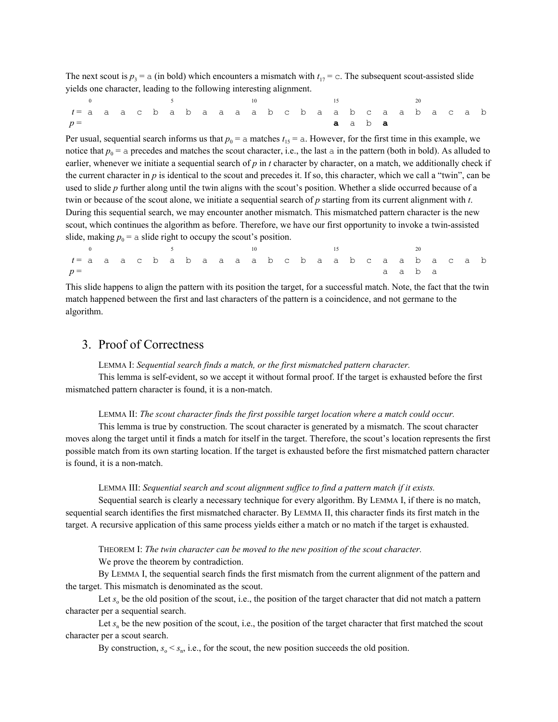The next scout is  $p_3 = a$  (in bold) which encounters a mismatch with  $t_{17} = c$ . The subsequent scout-assisted slide yields one character, leading to the following interesting alignment.

|                                                         |  |  |  |  |  |  |  | 15 |                       |  |  |  |  |
|---------------------------------------------------------|--|--|--|--|--|--|--|----|-----------------------|--|--|--|--|
| $t$ = a a a c b a b a a a a b c b a a b c a a b a c a b |  |  |  |  |  |  |  |    |                       |  |  |  |  |
| $p =$                                                   |  |  |  |  |  |  |  |    | <b>a</b> a b <b>a</b> |  |  |  |  |

Per usual, sequential search informs us that  $p_0 = a$  matches  $t_{15} = a$ . However, for the first time in this example, we notice that  $p_0 = a$  precedes and matches the scout character, i.e., the last a in the pattern (both in bold). As alluded to earlier, whenever we initiate a sequential search of *p* in *t* character by character, on a match, we additionally check if the current character in *p* is identical to the scout and precedes it. If so, this character, which we call a "twin", can be used to slide *p* further along until the twin aligns with the scout's position. Whether a slide occurred because of a twin or because of the scout alone, we initiate a sequential search of *p* starting from its current alignment with *t*. During this sequential search, we may encounter another mismatch. This mismatched pattern character is the new scout, which continues the algorithm as before. Therefore, we have our first opportunity to invoke a twin-assisted slide, making  $p_0$  = a slide right to occupy the scout's position.

0  $5$  10  $15$  20 *t* = a a a c b a b a a a a b c b a a b c a a b a c a b  $p =$  a a b a

This slide happens to align the pattern with its position the target, for a successful match. Note, the fact that the twin match happened between the first and last characters of the pattern is a coincidence, and not germane to the algorithm.

## <span id="page-3-0"></span>3. Proof of Correctness

LEMMA I: *Sequential search finds a match, or the first mismatched pattern character.*

This lemma is self-evident, so we accept it without formal proof. If the target is exhausted before the first mismatched pattern character is found, it is a non-match.

#### LEMMA II: *The scout character finds the first possible target location where a match could occur.*

This lemma is true by construction. The scout character is generated by a mismatch. The scout character moves along the target until it finds a match for itself in the target. Therefore, the scout's location represents the first possible match from its own starting location. If the target is exhausted before the first mismatched pattern character is found, it is a non-match.

#### LEMMA III: *Sequential search and scout alignment suf ice to find a pattern match if it exists.*

Sequential search is clearly a necessary technique for every algorithm. By LEMMA I, if there is no match, sequential search identifies the first mismatched character. By LEMMA II, this character finds its first match in the target. A recursive application of this same process yields either a match or no match if the target is exhausted.

THEOREM I: *The twin character can be moved to the new position of the scout character.*

#### We prove the theorem by contradiction.

By LEMMA I, the sequential search finds the first mismatch from the current alignment of the pattern and the target. This mismatch is denominated as the scout.

Let  $s_0$  be the old position of the scout, i.e., the position of the target character that did not match a pattern character per a sequential search.

Let  $s_n$  be the new position of the scout, i.e., the position of the target character that first matched the scout character per a scout search.

By construction,  $s_0 < s_n$ , i.e., for the scout, the new position succeeds the old position.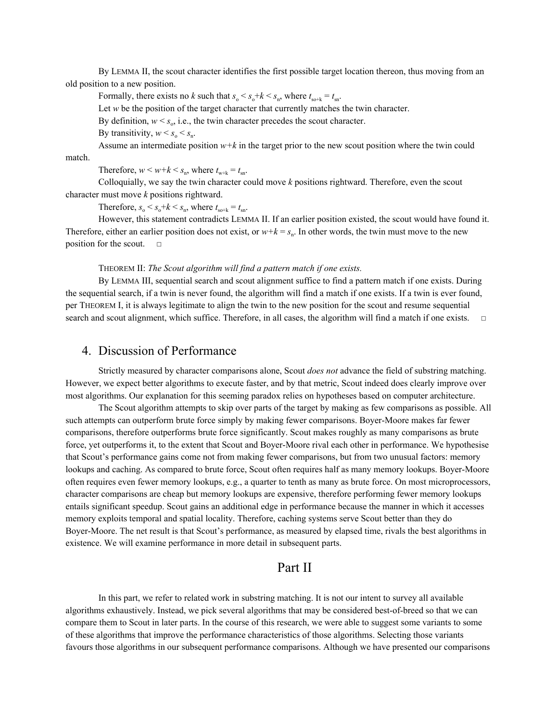By LEMMA II, the scout character identifies the first possible target location thereon, thus moving from an old position to a new position.

Formally, there exists no *k* such that  $s_o < s_o + k < s_n$ , where  $t_{so+k} = t_{sn}$ .

Let *w* be the position of the target character that currently matches the twin character.

By definition,  $w < s_0$ , i.e., the twin character precedes the scout character.

By transitivity,  $w < s_0 < s_n$ .

Assume an intermediate position  $w+k$  in the target prior to the new scout position where the twin could

match.

Therefore,  $w < w + k < s_n$ , where  $t_{w+k} = t_{sn}$ .

Colloquially, we say the twin character could move *k* positions rightward. Therefore, even the scout character must move *k* positions rightward.

Therefore,  $s_0 < s_0 + k < s_n$ , where  $t_{\text{so+k}} = t_{\text{sn}}$ .

However, this statement contradicts LEMMA II. If an earlier position existed, the scout would have found it. Therefore, either an earlier position does not exist, or  $w+k = s_n$ . In other words, the twin must move to the new position for the scout.  $□$ 

#### THEOREM II: *The Scout algorithm will find a pattern match if one exists.*

By LEMMA III, sequential search and scout alignment suffice to find a pattern match if one exists. During the sequential search, if a twin is never found, the algorithm will find a match if one exists. If a twin is ever found, per THEOREM I, it is always legitimate to align the twin to the new position for the scout and resume sequential search and scout alignment, which suffice. Therefore, in all cases, the algorithm will find a match if one exists. □

### <span id="page-4-0"></span>4. Discussion of Performance

Strictly measured by character comparisons alone, Scout *does not* advance the field of substring matching. However, we expect better algorithms to execute faster, and by that metric, Scout indeed does clearly improve over most algorithms. Our explanation for this seeming paradox relies on hypotheses based on computer architecture.

The Scout algorithm attempts to skip over parts of the target by making as few comparisons as possible. All such attempts can outperform brute force simply by making fewer comparisons. Boyer-Moore makes far fewer comparisons, therefore outperforms brute force significantly. Scout makes roughly as many comparisons as brute force, yet outperforms it, to the extent that Scout and Boyer-Moore rival each other in performance. We hypothesise that Scout's performance gains come not from making fewer comparisons, but from two unusual factors: memory lookups and caching. As compared to brute force, Scout often requires half as many memory lookups. Boyer-Moore often requires even fewer memory lookups, e.g., a quarter to tenth as many as brute force. On most microprocessors, character comparisons are cheap but memory lookups are expensive, therefore performing fewer memory lookups entails significant speedup. Scout gains an additional edge in performance because the manner in which it accesses memory exploits temporal and spatial locality. Therefore, caching systems serve Scout better than they do Boyer-Moore. The net result is that Scout's performance, as measured by elapsed time, rivals the best algorithms in existence. We will examine performance in more detail in subsequent parts.

## Part II

In this part, we refer to related work in substring matching. It is not our intent to survey all available algorithms exhaustively. Instead, we pick several algorithms that may be considered best-of-breed so that we can compare them to Scout in later parts. In the course of this research, we were able to suggest some variants to some of these algorithms that improve the performance characteristics of those algorithms. Selecting those variants favours those algorithms in our subsequent performance comparisons. Although we have presented our comparisons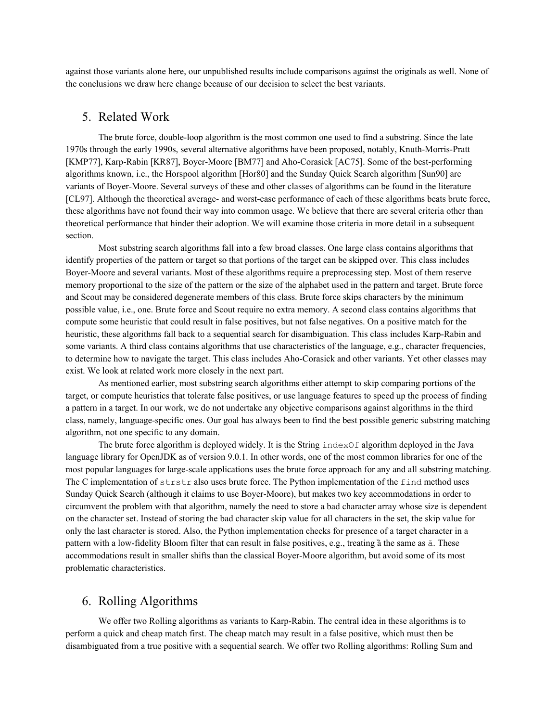<span id="page-5-0"></span>against those variants alone here, our unpublished results include comparisons against the originals as well. None of the conclusions we draw here change because of our decision to select the best variants.

## 5. Related Work

The brute force, double-loop algorithm is the most common one used to find a substring. Since the late 1970s through the early 1990s, several alternative algorithms have been proposed, notably, Knuth-Morris-Pratt [KMP77], Karp-Rabin [KR87], Boyer-Moore [BM77] and Aho-Corasick [AC75]. Some of the best-performing algorithms known, i.e., the Horspool algorithm [Hor80] and the Sunday Quick Search algorithm [Sun90] are variants of Boyer-Moore. Several surveys of these and other classes of algorithms can be found in the literature [CL97]. Although the theoretical average- and worst-case performance of each of these algorithms beats brute force, these algorithms have not found their way into common usage. We believe that there are several criteria other than theoretical performance that hinder their adoption. We will examine those criteria in more detail in a subsequent section.

Most substring search algorithms fall into a few broad classes. One large class contains algorithms that identify properties of the pattern or target so that portions of the target can be skipped over. This class includes Boyer-Moore and several variants. Most of these algorithms require a preprocessing step. Most of them reserve memory proportional to the size of the pattern or the size of the alphabet used in the pattern and target. Brute force and Scout may be considered degenerate members of this class. Brute force skips characters by the minimum possible value, i.e., one. Brute force and Scout require no extra memory. A second class contains algorithms that compute some heuristic that could result in false positives, but not false negatives. On a positive match for the heuristic, these algorithms fall back to a sequential search for disambiguation. This class includes Karp-Rabin and some variants. A third class contains algorithms that use characteristics of the language, e.g., character frequencies, to determine how to navigate the target. This class includes Aho-Corasick and other variants. Yet other classes may exist. We look at related work more closely in the next part.

As mentioned earlier, most substring search algorithms either attempt to skip comparing portions of the target, or compute heuristics that tolerate false positives, or use language features to speed up the process of finding a pattern in a target. In our work, we do not undertake any objective comparisons against algorithms in the third class, namely, language-specific ones. Our goal has always been to find the best possible generic substring matching algorithm, not one specific to any domain.

The brute force algorithm is deployed widely. It is the String indexOf algorithm deployed in the Java language library for OpenJDK as of version 9.0.1. In other words, one of the most common libraries for one of the most popular languages for large-scale applications uses the brute force approach for any and all substring matching. The C implementation of strstr also uses brute force. The Python implementation of the find method uses Sunday Quick Search (although it claims to use Boyer-Moore), but makes two key accommodations in order to circumvent the problem with that algorithm, namely the need to store a bad character array whose size is dependent on the character set. Instead of storing the bad character skip value for all characters in the set, the skip value for only the last character is stored. Also, the Python implementation checks for presence of a target character in a pattern with a low-fidelity Bloom filter that can result in false positives, e.g., treating ȁ the same as ā. These accommodations result in smaller shifts than the classical Boyer-Moore algorithm, but avoid some of its most problematic characteristics.

### <span id="page-5-1"></span>6. Rolling Algorithms

We offer two Rolling algorithms as variants to Karp-Rabin. The central idea in these algorithms is to perform a quick and cheap match first. The cheap match may result in a false positive, which must then be disambiguated from a true positive with a sequential search. We offer two Rolling algorithms: Rolling Sum and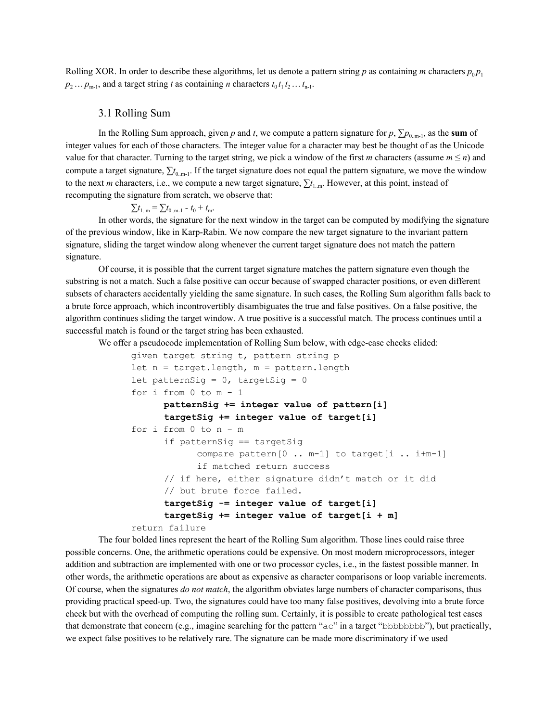<span id="page-6-0"></span>Rolling XOR. In order to describe these algorithms, let us denote a pattern string *p* as containing *m* characters  $p_0 p_1$  $p_2 \ldots p_{m-1}$ , and a target string *t* as containing *n* characters  $t_0 t_1 t_2 \ldots t_{n-1}$ .

#### 3.1 Rolling Sum

In the Rolling Sum approach, given *p* and *t*, we compute a pattern signature for  $p$ ,  $\sum p_{0,m-1}$ , as the sum of integer values for each of those characters. The integer value for a character may best be thought of as the Unicode value for that character. Turning to the target string, we pick a window of the first *m* characters (assume  $m \le n$ ) and compute a target signature,  $\sum t_{0,m-1}$ . If the target signature does not equal the pattern signature, we move the window to the next *m* characters, i.e., we compute a new target signature,  $\sum t_{1,m}$ . However, at this point, instead of recomputing the signature from scratch, we observe that:

$$
\sum t_{1..m} = \sum t_{0..m-1} - t_0 + t_m.
$$

In other words, the signature for the next window in the target can be computed by modifying the signature of the previous window, like in Karp-Rabin. We now compare the new target signature to the invariant pattern signature, sliding the target window along whenever the current target signature does not match the pattern signature.

Of course, it is possible that the current target signature matches the pattern signature even though the substring is not a match. Such a false positive can occur because of swapped character positions, or even different subsets of characters accidentally yielding the same signature. In such cases, the Rolling Sum algorithm falls back to a brute force approach, which incontrovertibly disambiguates the true and false positives. On a false positive, the algorithm continues sliding the target window. A true positive is a successful match. The process continues until a successful match is found or the target string has been exhausted.

We offer a pseudocode implementation of Rolling Sum below, with edge-case checks elided:

```
given target string t, pattern string p
let n = \text{target.length}, m = \text{pattern.length}let patternSig = 0, targetSig = 0for i from 0 to m - 1
      patternSig += integer value of pattern[i]
      targetSig += integer value of target[i]
for i from 0 to n - m
      if patternSig == targetSig
            compare pattern[0 .. m-1] to target[i .. i+m-1]
            if matched return success
      // if here, either signature didn't match or it did
      // but brute force failed.
      targetSig -= integer value of target[i]
      targetSig += integer value of target[i + m]
return failure
```
The four bolded lines represent the heart of the Rolling Sum algorithm. Those lines could raise three possible concerns. One, the arithmetic operations could be expensive. On most modern microprocessors, integer addition and subtraction are implemented with one or two processor cycles, i.e., in the fastest possible manner. In other words, the arithmetic operations are about as expensive as character comparisons or loop variable increments. Of course, when the signatures *do not match*, the algorithm obviates large numbers of character comparisons, thus providing practical speed-up. Two, the signatures could have too many false positives, devolving into a brute force check but with the overhead of computing the rolling sum. Certainly, it is possible to create pathological test cases that demonstrate that concern (e.g., imagine searching for the pattern "ac" in a target "bbbbbbbb"), but practically, we expect false positives to be relatively rare. The signature can be made more discriminatory if we used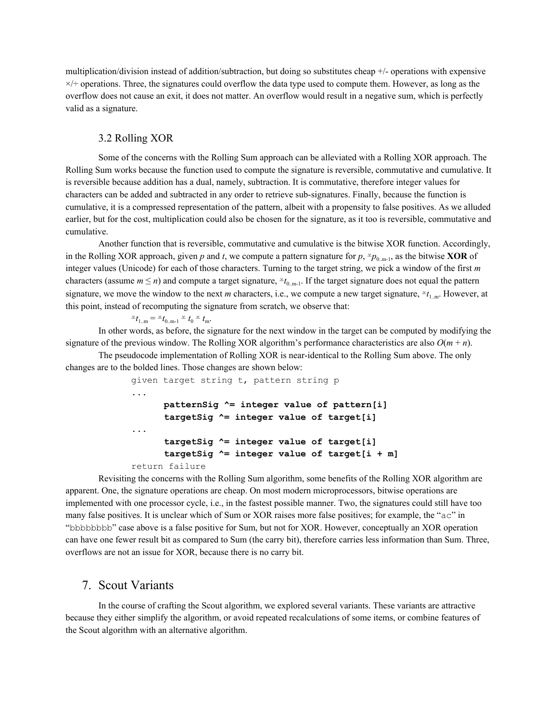multiplication/division instead of addition/subtraction, but doing so substitutes cheap +/- operations with expensive  $\times/$  operations. Three, the signatures could overflow the data type used to compute them. However, as long as the overflow does not cause an exit, it does not matter. An overflow would result in a negative sum, which is perfectly valid as a signature.

#### <span id="page-7-0"></span>3.2 Rolling XOR

Some of the concerns with the Rolling Sum approach can be alleviated with a Rolling XOR approach. The Rolling Sum works because the function used to compute the signature is reversible, commutative and cumulative. It is reversible because addition has a dual, namely, subtraction. It is commutative, therefore integer values for characters can be added and subtracted in any order to retrieve sub-signatures. Finally, because the function is cumulative, it is a compressed representation of the pattern, albeit with a propensity to false positives. As we alluded earlier, but for the cost, multiplication could also be chosen for the signature, as it too is reversible, commutative and cumulative.

Another function that is reversible, commutative and cumulative is the bitwise XOR function. Accordingly, in the Rolling XOR approach, given *p* and *t*, we compute a pattern signature for  $p, \frac{1}{2}p_{0,m-1}$ , as the bitwise **XOR** of integer values (Unicode) for each of those characters. Turning to the target string, we pick a window of the first *m* characters (assume  $m \le n$ ) and compute a target signature,  $\angle t_{0,m-1}$ . If the target signature does not equal the pattern signature, we move the window to the next *m* characters, i.e., we compute a new target signature,  $\varepsilon t_{1,m}$ . However, at this point, instead of recomputing the signature from scratch, we observe that:

 $\leq t_{1..m} = \leq t_{0..m-1} \leq t_0 \leq t_m.$ 

In other words, as before, the signature for the next window in the target can be computed by modifying the signature of the previous window. The Rolling XOR algorithm's performance characteristics are also  $O(m + n)$ .

The pseudocode implementation of Rolling XOR is near-identical to the Rolling Sum above. The only changes are to the bolded lines. Those changes are shown below:

```
given target string t, pattern string p
...
      patternSig ^= integer value of pattern[i]
      targetSig ^= integer value of target[i]
...
      targetSig ^= integer value of target[i]
      targetSig ^= integer value of target[i + m]
return failure
```
Revisiting the concerns with the Rolling Sum algorithm, some benefits of the Rolling XOR algorithm are apparent. One, the signature operations are cheap. On most modern microprocessors, bitwise operations are implemented with one processor cycle, i.e., in the fastest possible manner. Two, the signatures could still have too many false positives. It is unclear which of Sum or XOR raises more false positives; for example, the "ac" in "bbbbbbbb" case above is a false positive for Sum, but not for XOR. However, conceptually an XOR operation can have one fewer result bit as compared to Sum (the carry bit), therefore carries less information than Sum. Three, overflows are not an issue for XOR, because there is no carry bit.

### <span id="page-7-1"></span>7. Scout Variants

In the course of crafting the Scout algorithm, we explored several variants. These variants are attractive because they either simplify the algorithm, or avoid repeated recalculations of some items, or combine features of the Scout algorithm with an alternative algorithm.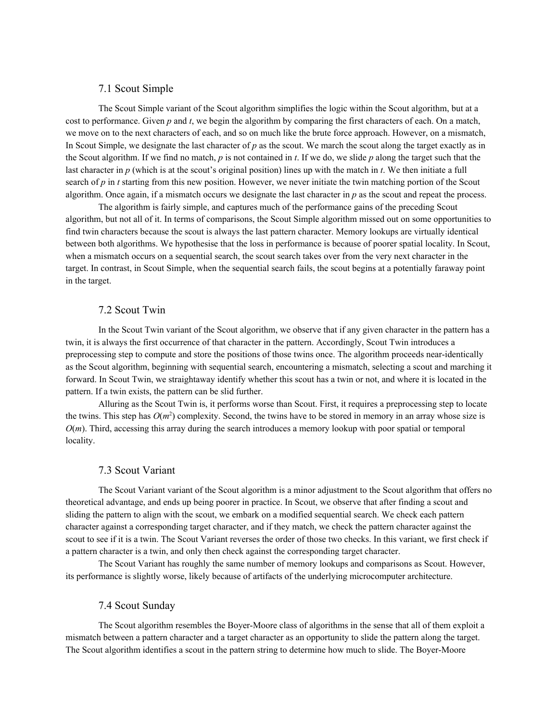#### <span id="page-8-0"></span>7.1 Scout Simple

The Scout Simple variant of the Scout algorithm simplifies the logic within the Scout algorithm, but at a cost to performance. Given *p* and *t*, we begin the algorithm by comparing the first characters of each. On a match, we move on to the next characters of each, and so on much like the brute force approach. However, on a mismatch, In Scout Simple, we designate the last character of  $p$  as the scout. We march the scout along the target exactly as in the Scout algorithm. If we find no match, *p* is not contained in *t*. If we do, we slide *p* along the target such that the last character in *p* (which is at the scout's original position) lines up with the match in *t*. We then initiate a full search of *p* in *t* starting from this new position. However, we never initiate the twin matching portion of the Scout algorithm. Once again, if a mismatch occurs we designate the last character in *p* as the scout and repeat the process.

The algorithm is fairly simple, and captures much of the performance gains of the preceding Scout algorithm, but not all of it. In terms of comparisons, the Scout Simple algorithm missed out on some opportunities to find twin characters because the scout is always the last pattern character. Memory lookups are virtually identical between both algorithms. We hypothesise that the loss in performance is because of poorer spatial locality. In Scout, when a mismatch occurs on a sequential search, the scout search takes over from the very next character in the target. In contrast, in Scout Simple, when the sequential search fails, the scout begins at a potentially faraway point in the target.

#### <span id="page-8-1"></span>7.2 Scout Twin

In the Scout Twin variant of the Scout algorithm, we observe that if any given character in the pattern has a twin, it is always the first occurrence of that character in the pattern. Accordingly, Scout Twin introduces a preprocessing step to compute and store the positions of those twins once. The algorithm proceeds near-identically as the Scout algorithm, beginning with sequential search, encountering a mismatch, selecting a scout and marching it forward. In Scout Twin, we straightaway identify whether this scout has a twin or not, and where it is located in the pattern. If a twin exists, the pattern can be slid further.

Alluring as the Scout Twin is, it performs worse than Scout. First, it requires a preprocessing step to locate the twins. This step has  $O(m^2)$  complexity. Second, the twins have to be stored in memory in an array whose size is *O*(*m*). Third, accessing this array during the search introduces a memory lookup with poor spatial or temporal locality.

#### <span id="page-8-2"></span>7.3 Scout Variant

The Scout Variant variant of the Scout algorithm is a minor adjustment to the Scout algorithm that offers no theoretical advantage, and ends up being poorer in practice. In Scout, we observe that after finding a scout and sliding the pattern to align with the scout, we embark on a modified sequential search. We check each pattern character against a corresponding target character, and if they match, we check the pattern character against the scout to see if it is a twin. The Scout Variant reverses the order of those two checks. In this variant, we first check if a pattern character is a twin, and only then check against the corresponding target character.

<span id="page-8-3"></span>The Scout Variant has roughly the same number of memory lookups and comparisons as Scout. However, its performance is slightly worse, likely because of artifacts of the underlying microcomputer architecture.

#### 7.4 Scout Sunday

The Scout algorithm resembles the Boyer-Moore class of algorithms in the sense that all of them exploit a mismatch between a pattern character and a target character as an opportunity to slide the pattern along the target. The Scout algorithm identifies a scout in the pattern string to determine how much to slide. The Boyer-Moore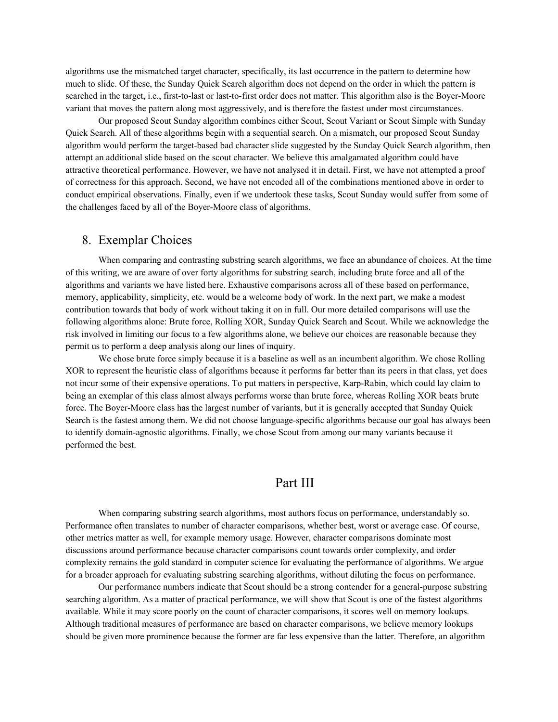algorithms use the mismatched target character, specifically, its last occurrence in the pattern to determine how much to slide. Of these, the Sunday Quick Search algorithm does not depend on the order in which the pattern is searched in the target, i.e., first-to-last or last-to-first order does not matter. This algorithm also is the Boyer-Moore variant that moves the pattern along most aggressively, and is therefore the fastest under most circumstances.

Our proposed Scout Sunday algorithm combines either Scout, Scout Variant or Scout Simple with Sunday Quick Search. All of these algorithms begin with a sequential search. On a mismatch, our proposed Scout Sunday algorithm would perform the target-based bad character slide suggested by the Sunday Quick Search algorithm, then attempt an additional slide based on the scout character. We believe this amalgamated algorithm could have attractive theoretical performance. However, we have not analysed it in detail. First, we have not attempted a proof of correctness for this approach. Second, we have not encoded all of the combinations mentioned above in order to conduct empirical observations. Finally, even if we undertook these tasks, Scout Sunday would suffer from some of the challenges faced by all of the Boyer-Moore class of algorithms.

### <span id="page-9-0"></span>8. Exemplar Choices

When comparing and contrasting substring search algorithms, we face an abundance of choices. At the time of this writing, we are aware of over forty algorithms for substring search, including brute force and all of the algorithms and variants we have listed here. Exhaustive comparisons across all of these based on performance, memory, applicability, simplicity, etc. would be a welcome body of work. In the next part, we make a modest contribution towards that body of work without taking it on in full. Our more detailed comparisons will use the following algorithms alone: Brute force, Rolling XOR, Sunday Quick Search and Scout. While we acknowledge the risk involved in limiting our focus to a few algorithms alone, we believe our choices are reasonable because they permit us to perform a deep analysis along our lines of inquiry.

We chose brute force simply because it is a baseline as well as an incumbent algorithm. We chose Rolling XOR to represent the heuristic class of algorithms because it performs far better than its peers in that class, yet does not incur some of their expensive operations. To put matters in perspective, Karp-Rabin, which could lay claim to being an exemplar of this class almost always performs worse than brute force, whereas Rolling XOR beats brute force. The Boyer-Moore class has the largest number of variants, but it is generally accepted that Sunday Quick Search is the fastest among them. We did not choose language-specific algorithms because our goal has always been to identify domain-agnostic algorithms. Finally, we chose Scout from among our many variants because it performed the best.

## Part III

When comparing substring search algorithms, most authors focus on performance, understandably so. Performance often translates to number of character comparisons, whether best, worst or average case. Of course, other metrics matter as well, for example memory usage. However, character comparisons dominate most discussions around performance because character comparisons count towards order complexity, and order complexity remains the gold standard in computer science for evaluating the performance of algorithms. We argue for a broader approach for evaluating substring searching algorithms, without diluting the focus on performance.

Our performance numbers indicate that Scout should be a strong contender for a general-purpose substring searching algorithm. As a matter of practical performance, we will show that Scout is one of the fastest algorithms available. While it may score poorly on the count of character comparisons, it scores well on memory lookups. Although traditional measures of performance are based on character comparisons, we believe memory lookups should be given more prominence because the former are far less expensive than the latter. Therefore, an algorithm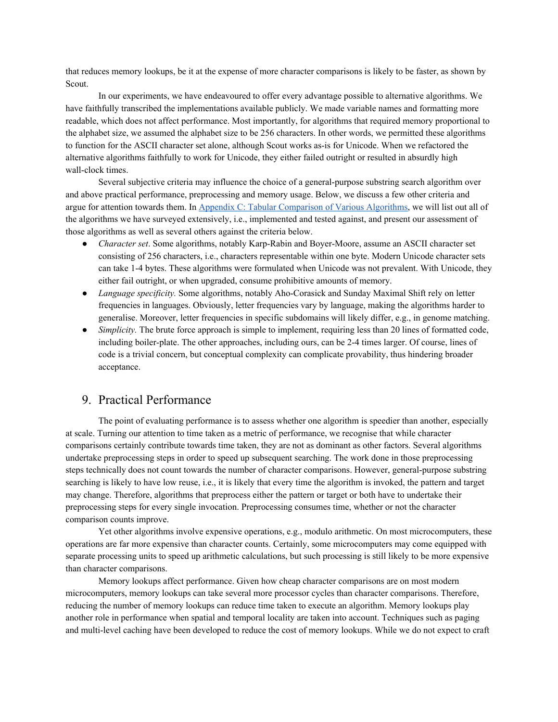that reduces memory lookups, be it at the expense of more character comparisons is likely to be faster, as shown by Scout.

In our experiments, we have endeavoured to offer every advantage possible to alternative algorithms. We have faithfully transcribed the implementations available publicly. We made variable names and formatting more readable, which does not affect performance. Most importantly, for algorithms that required memory proportional to the alphabet size, we assumed the alphabet size to be 256 characters. In other words, we permitted these algorithms to function for the ASCII character set alone, although Scout works as-is for Unicode. When we refactored the alternative algorithms faithfully to work for Unicode, they either failed outright or resulted in absurdly high wall-clock times.

Several subjective criteria may influence the choice of a general-purpose substring search algorithm over and above practical performance, preprocessing and memory usage. Below, we discuss a few other criteria and argue for attention towards them. In Appendix C: Tabular [Comparison](#page-19-1) of Various Algorithms, we will list out all of the algorithms we have surveyed extensively, i.e., implemented and tested against, and present our assessment of those algorithms as well as several others against the criteria below.

- *Character set*. Some algorithms, notably Karp-Rabin and Boyer-Moore, assume an ASCII character set consisting of 256 characters, i.e., characters representable within one byte. Modern Unicode character sets can take 1-4 bytes. These algorithms were formulated when Unicode was not prevalent. With Unicode, they either fail outright, or when upgraded, consume prohibitive amounts of memory.
- *Language specificity.* Some algorithms, notably Aho-Corasick and Sunday Maximal Shift rely on letter frequencies in languages. Obviously, letter frequencies vary by language, making the algorithms harder to generalise. Moreover, letter frequencies in specific subdomains will likely differ, e.g., in genome matching.
- *Simplicity*. The brute force approach is simple to implement, requiring less than 20 lines of formatted code, including boiler-plate. The other approaches, including ours, can be 2-4 times larger. Of course, lines of code is a trivial concern, but conceptual complexity can complicate provability, thus hindering broader acceptance.

## <span id="page-10-0"></span>9. Practical Performance

The point of evaluating performance is to assess whether one algorithm is speedier than another, especially at scale. Turning our attention to time taken as a metric of performance, we recognise that while character comparisons certainly contribute towards time taken, they are not as dominant as other factors. Several algorithms undertake preprocessing steps in order to speed up subsequent searching. The work done in those preprocessing steps technically does not count towards the number of character comparisons. However, general-purpose substring searching is likely to have low reuse, i.e., it is likely that every time the algorithm is invoked, the pattern and target may change. Therefore, algorithms that preprocess either the pattern or target or both have to undertake their preprocessing steps for every single invocation. Preprocessing consumes time, whether or not the character comparison counts improve.

Yet other algorithms involve expensive operations, e.g., modulo arithmetic. On most microcomputers, these operations are far more expensive than character counts. Certainly, some microcomputers may come equipped with separate processing units to speed up arithmetic calculations, but such processing is still likely to be more expensive than character comparisons.

Memory lookups affect performance. Given how cheap character comparisons are on most modern microcomputers, memory lookups can take several more processor cycles than character comparisons. Therefore, reducing the number of memory lookups can reduce time taken to execute an algorithm. Memory lookups play another role in performance when spatial and temporal locality are taken into account. Techniques such as paging and multi-level caching have been developed to reduce the cost of memory lookups. While we do not expect to craft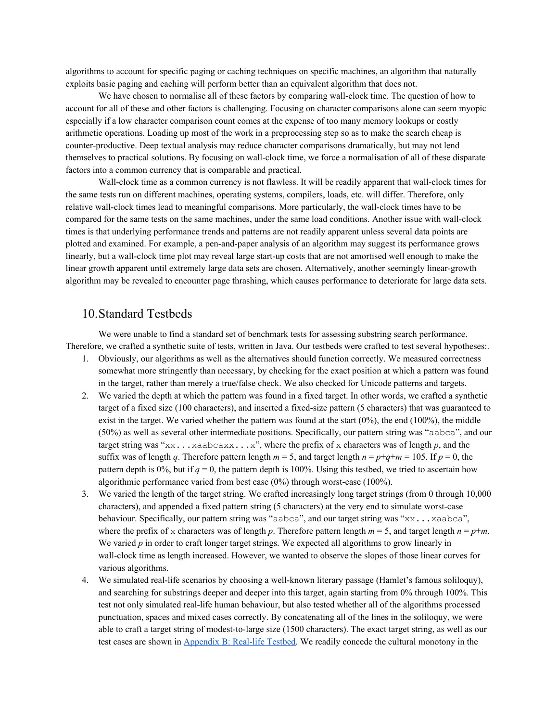algorithms to account for specific paging or caching techniques on specific machines, an algorithm that naturally exploits basic paging and caching will perform better than an equivalent algorithm that does not.

We have chosen to normalise all of these factors by comparing wall-clock time. The question of how to account for all of these and other factors is challenging. Focusing on character comparisons alone can seem myopic especially if a low character comparison count comes at the expense of too many memory lookups or costly arithmetic operations. Loading up most of the work in a preprocessing step so as to make the search cheap is counter-productive. Deep textual analysis may reduce character comparisons dramatically, but may not lend themselves to practical solutions. By focusing on wall-clock time, we force a normalisation of all of these disparate factors into a common currency that is comparable and practical.

Wall-clock time as a common currency is not flawless. It will be readily apparent that wall-clock times for the same tests run on different machines, operating systems, compilers, loads, etc. will differ. Therefore, only relative wall-clock times lead to meaningful comparisons. More particularly, the wall-clock times have to be compared for the same tests on the same machines, under the same load conditions. Another issue with wall-clock times is that underlying performance trends and patterns are not readily apparent unless several data points are plotted and examined. For example, a pen-and-paper analysis of an algorithm may suggest its performance grows linearly, but a wall-clock time plot may reveal large start-up costs that are not amortised well enough to make the linear growth apparent until extremely large data sets are chosen. Alternatively, another seemingly linear-growth algorithm may be revealed to encounter page thrashing, which causes performance to deteriorate for large data sets.

### <span id="page-11-0"></span>10.Standard Testbeds

We were unable to find a standard set of benchmark tests for assessing substring search performance. Therefore, we crafted a synthetic suite of tests, written in Java. Our testbeds were crafted to test several hypotheses:.

- 1. Obviously, our algorithms as well as the alternatives should function correctly. We measured correctness somewhat more stringently than necessary, by checking for the exact position at which a pattern was found in the target, rather than merely a true/false check. We also checked for Unicode patterns and targets.
- 2. We varied the depth at which the pattern was found in a fixed target. In other words, we crafted a synthetic target of a fixed size (100 characters), and inserted a fixed-size pattern (5 characters) that was guaranteed to exist in the target. We varied whether the pattern was found at the start  $(0\%)$ , the end  $(100\%)$ , the middle (50%) as well as several other intermediate positions. Specifically, our pattern string was "aabca", and our target string was " $x \times x$ ... $x a$ abcax $x \cdot x$ ... $x$ ", where the prefix of x characters was of length *p*, and the suffix was of length *q*. Therefore pattern length  $m = 5$ , and target length  $n = p + q + m = 105$ . If  $p = 0$ , the pattern depth is 0%, but if  $q = 0$ , the pattern depth is 100%. Using this testbed, we tried to ascertain how algorithmic performance varied from best case (0%) through worst-case (100%).
- 3. We varied the length of the target string. We crafted increasingly long target strings (from 0 through 10,000 characters), and appended a fixed pattern string (5 characters) at the very end to simulate worst-case behaviour. Specifically, our pattern string was "aabca", and our target string was "xx...xaabca", where the prefix of x characters was of length *p*. Therefore pattern length  $m = 5$ , and target length  $n = p+m$ . We varied *p* in order to craft longer target strings. We expected all algorithms to grow linearly in wall-clock time as length increased. However, we wanted to observe the slopes of those linear curves for various algorithms.
- 4. We simulated real-life scenarios by choosing a well-known literary passage (Hamlet's famous soliloquy), and searching for substrings deeper and deeper into this target, again starting from 0% through 100%. This test not only simulated real-life human behaviour, but also tested whether all of the algorithms processed punctuation, spaces and mixed cases correctly. By concatenating all of the lines in the soliloquy, we were able to craft a target string of modest-to-large size (1500 characters). The exact target string, as well as our test cases are shown in [Appendix](#page-19-0) B: Real-life Testbed. We readily concede the cultural monotony in the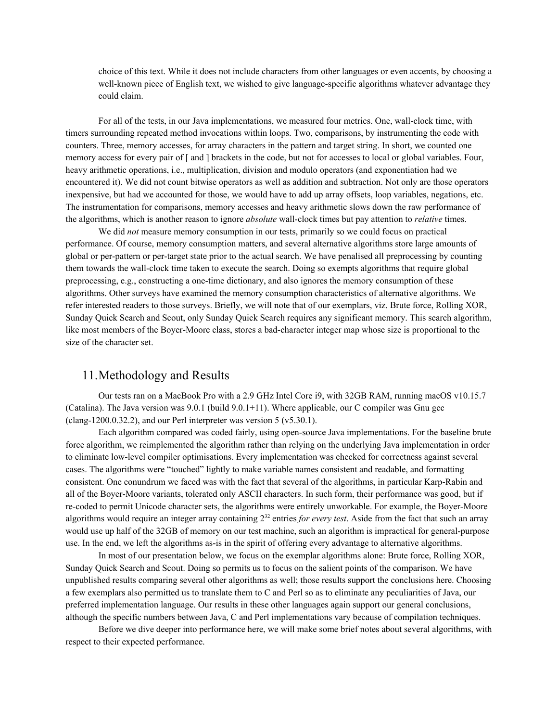choice of this text. While it does not include characters from other languages or even accents, by choosing a well-known piece of English text, we wished to give language-specific algorithms whatever advantage they could claim.

For all of the tests, in our Java implementations, we measured four metrics. One, wall-clock time, with timers surrounding repeated method invocations within loops. Two, comparisons, by instrumenting the code with counters. Three, memory accesses, for array characters in the pattern and target string. In short, we counted one memory access for every pair of [ and ] brackets in the code, but not for accesses to local or global variables. Four, heavy arithmetic operations, i.e., multiplication, division and modulo operators (and exponentiation had we encountered it). We did not count bitwise operators as well as addition and subtraction. Not only are those operators inexpensive, but had we accounted for those, we would have to add up array offsets, loop variables, negations, etc. The instrumentation for comparisons, memory accesses and heavy arithmetic slows down the raw performance of the algorithms, which is another reason to ignore *absolute* wall-clock times but pay attention to *relative* times.

We did *not* measure memory consumption in our tests, primarily so we could focus on practical performance. Of course, memory consumption matters, and several alternative algorithms store large amounts of global or per-pattern or per-target state prior to the actual search. We have penalised all preprocessing by counting them towards the wall-clock time taken to execute the search. Doing so exempts algorithms that require global preprocessing, e.g., constructing a one-time dictionary, and also ignores the memory consumption of these algorithms. Other surveys have examined the memory consumption characteristics of alternative algorithms. We refer interested readers to those surveys. Briefly, we will note that of our exemplars, viz. Brute force, Rolling XOR, Sunday Quick Search and Scout, only Sunday Quick Search requires any significant memory. This search algorithm, like most members of the Boyer-Moore class, stores a bad-character integer map whose size is proportional to the size of the character set.

### <span id="page-12-0"></span>11.Methodology and Results

Our tests ran on a MacBook Pro with a 2.9 GHz Intel Core i9, with 32GB RAM, running macOS v10.15.7 (Catalina). The Java version was  $9.0.1$  (build  $9.0.1+11$ ). Where applicable, our C compiler was Gnu gcc (clang-1200.0.32.2), and our Perl interpreter was version  $5$  (v $5.30.1$ ).

Each algorithm compared was coded fairly, using open-source Java implementations. For the baseline brute force algorithm, we reimplemented the algorithm rather than relying on the underlying Java implementation in order to eliminate low-level compiler optimisations. Every implementation was checked for correctness against several cases. The algorithms were "touched" lightly to make variable names consistent and readable, and formatting consistent. One conundrum we faced was with the fact that several of the algorithms, in particular Karp-Rabin and all of the Boyer-Moore variants, tolerated only ASCII characters. In such form, their performance was good, but if re-coded to permit Unicode character sets, the algorithms were entirely unworkable. For example, the Boyer-Moore algorithms would require an integer array containing 2 <sup>32</sup> entries *for every test*. Aside from the fact that such an array would use up half of the 32GB of memory on our test machine, such an algorithm is impractical for general-purpose use. In the end, we left the algorithms as-is in the spirit of offering every advantage to alternative algorithms.

In most of our presentation below, we focus on the exemplar algorithms alone: Brute force, Rolling XOR, Sunday Quick Search and Scout. Doing so permits us to focus on the salient points of the comparison. We have unpublished results comparing several other algorithms as well; those results support the conclusions here. Choosing a few exemplars also permitted us to translate them to C and Perl so as to eliminate any peculiarities of Java, our preferred implementation language. Our results in these other languages again support our general conclusions, although the specific numbers between Java, C and Perl implementations vary because of compilation techniques.

Before we dive deeper into performance here, we will make some brief notes about several algorithms, with respect to their expected performance.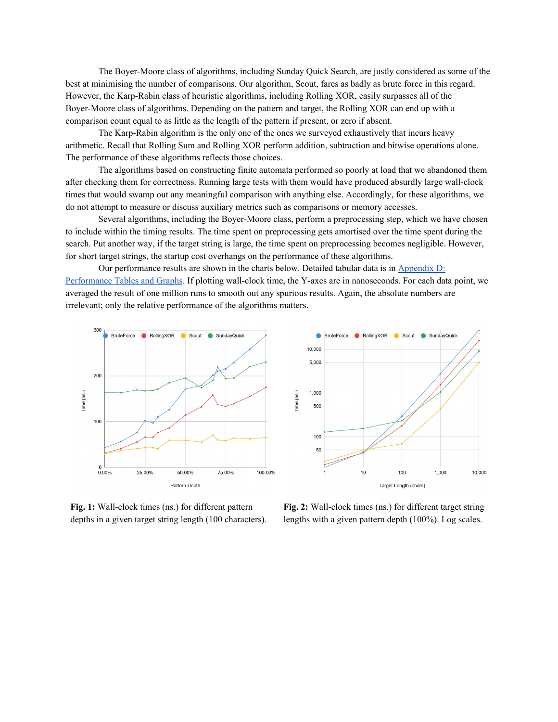The Boyer-Moore class of algorithms, including Sunday Quick Search, are justly considered as some of the best at minimising the number of comparisons. Our algorithm, Scout, fares as badly as brute force in this regard. However, the Karp-Rabin class of heuristic algorithms, including Rolling XOR, easily surpasses all of the Boyer-Moore class of algorithms. Depending on the pattern and target, the Rolling XOR can end up with a comparison count equal to as little as the length of the pattern if present, or zero if absent.

The Karp-Rabin algorithm is the only one of the ones we surveyed exhaustively that incurs heavy arithmetic. Recall that Rolling Sum and Rolling XOR perform addition, subtraction and bitwise operations alone. The performance of these algorithms reflects those choices.

The algorithms based on constructing finite automata performed so poorly at load that we abandoned them after checking them for correctness. Running large tests with them would have produced absurdly large wall-clock times that would swamp out any meaningful comparison with anything else. Accordingly, for these algorithms, we do not attempt to measure or discuss auxiliary metrics such as comparisons or memory accesses.

Several algorithms, including the Boyer-Moore class, perform a preprocessing step, which we have chosen to include within the timing results. The time spent on preprocessing gets amortised over the time spent during the search. Put another way, if the target string is large, the time spent on preprocessing becomes negligible. However, for short target strings, the startup cost overhangs on the performance of these algorithms.

Our performance results are shown in the charts below. Detailed tabular data is in [Appendix](#page-22-0) D: [Performance](#page-22-0) Tables and Graphs. If plotting wall-clock time, the Y-axes are in nanoseconds. For each data point, we averaged the result of one million runs to smooth out any spurious results. Again, the absolute numbers are irrelevant; only the relative performance of the algorithms matters.



**Fig. 1:** Wall-clock times (ns.) for different pattern depths in a given target string length (100 characters). **Fig. 2:** Wall-clock times (ns.) for different target string lengths with a given pattern depth (100%). Log scales.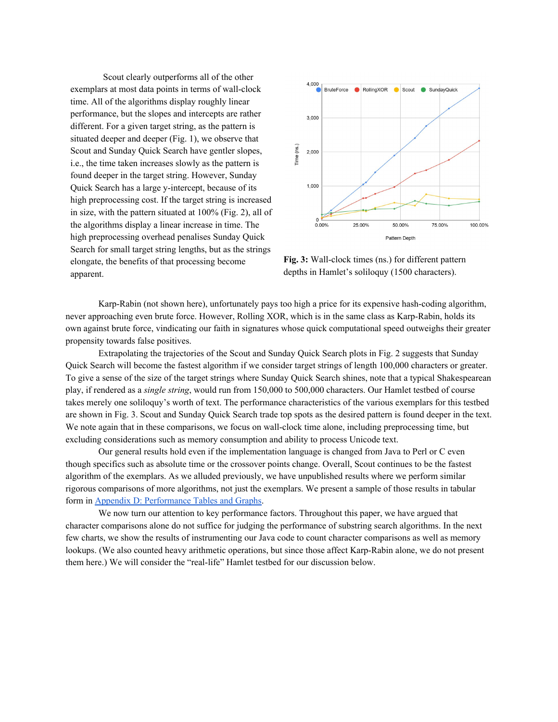Scout clearly outperforms all of the other exemplars at most data points in terms of wall-clock time. All of the algorithms display roughly linear performance, but the slopes and intercepts are rather different. For a given target string, as the pattern is situated deeper and deeper (Fig. 1), we observe that Scout and Sunday Quick Search have gentler slopes, i.e., the time taken increases slowly as the pattern is found deeper in the target string. However, Sunday Quick Search has a large y-intercept, because of its high preprocessing cost. If the target string is increased in size, with the pattern situated at 100% (Fig. 2), all of the algorithms display a linear increase in time. The high preprocessing overhead penalises Sunday Quick Search for small target string lengths, but as the strings elongate, the benefits of that processing become apparent.



**Fig. 3:** Wall-clock times (ns.) for different pattern depths in Hamlet's soliloquy (1500 characters).

Karp-Rabin (not shown here), unfortunately pays too high a price for its expensive hash-coding algorithm, never approaching even brute force. However, Rolling XOR, which is in the same class as Karp-Rabin, holds its own against brute force, vindicating our faith in signatures whose quick computational speed outweighs their greater propensity towards false positives.

Extrapolating the trajectories of the Scout and Sunday Quick Search plots in Fig. 2 suggests that Sunday Quick Search will become the fastest algorithm if we consider target strings of length 100,000 characters or greater. To give a sense of the size of the target strings where Sunday Quick Search shines, note that a typical Shakespearean play, if rendered as a *single string*, would run from 150,000 to 500,000 characters. Our Hamlet testbed of course takes merely one soliloquy's worth of text. The performance characteristics of the various exemplars for this testbed are shown in Fig. 3. Scout and Sunday Quick Search trade top spots as the desired pattern is found deeper in the text. We note again that in these comparisons, we focus on wall-clock time alone, including preprocessing time, but excluding considerations such as memory consumption and ability to process Unicode text.

Our general results hold even if the implementation language is changed from Java to Perl or C even though specifics such as absolute time or the crossover points change. Overall, Scout continues to be the fastest algorithm of the exemplars. As we alluded previously, we have unpublished results where we perform similar rigorous comparisons of more algorithms, not just the exemplars. We present a sample of those results in tabular form in Appendix D: [Performance](#page-22-0) Tables and Graphs.

We now turn our attention to key performance factors. Throughout this paper, we have argued that character comparisons alone do not suffice for judging the performance of substring search algorithms. In the next few charts, we show the results of instrumenting our Java code to count character comparisons as well as memory lookups. (We also counted heavy arithmetic operations, but since those affect Karp-Rabin alone, we do not present them here.) We will consider the "real-life" Hamlet testbed for our discussion below.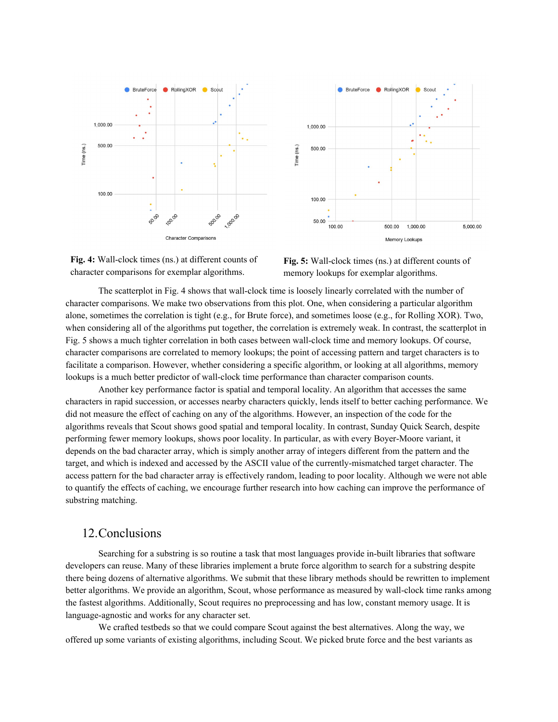



**Fig. 4:** Wall-clock times (ns.) at different counts of character comparisons for exemplar algorithms.



The scatterplot in Fig. 4 shows that wall-clock time is loosely linearly correlated with the number of character comparisons. We make two observations from this plot. One, when considering a particular algorithm alone, sometimes the correlation is tight (e.g., for Brute force), and sometimes loose (e.g., for Rolling XOR). Two, when considering all of the algorithms put together, the correlation is extremely weak. In contrast, the scatterplot in Fig. 5 shows a much tighter correlation in both cases between wall-clock time and memory lookups. Of course, character comparisons are correlated to memory lookups; the point of accessing pattern and target characters is to facilitate a comparison. However, whether considering a specific algorithm, or looking at all algorithms, memory lookups is a much better predictor of wall-clock time performance than character comparison counts.

Another key performance factor is spatial and temporal locality. An algorithm that accesses the same characters in rapid succession, or accesses nearby characters quickly, lends itself to better caching performance. We did not measure the effect of caching on any of the algorithms. However, an inspection of the code for the algorithms reveals that Scout shows good spatial and temporal locality. In contrast, Sunday Quick Search, despite performing fewer memory lookups, shows poor locality. In particular, as with every Boyer-Moore variant, it depends on the bad character array, which is simply another array of integers different from the pattern and the target, and which is indexed and accessed by the ASCII value of the currently-mismatched target character. The access pattern for the bad character array is effectively random, leading to poor locality. Although we were not able to quantify the effects of caching, we encourage further research into how caching can improve the performance of substring matching.

## <span id="page-15-0"></span>12.Conclusions

Searching for a substring is so routine a task that most languages provide in-built libraries that software developers can reuse. Many of these libraries implement a brute force algorithm to search for a substring despite there being dozens of alternative algorithms. We submit that these library methods should be rewritten to implement better algorithms. We provide an algorithm, Scout, whose performance as measured by wall-clock time ranks among the fastest algorithms. Additionally, Scout requires no preprocessing and has low, constant memory usage. It is language-agnostic and works for any character set.

We crafted testbeds so that we could compare Scout against the best alternatives. Along the way, we offered up some variants of existing algorithms, including Scout. We picked brute force and the best variants as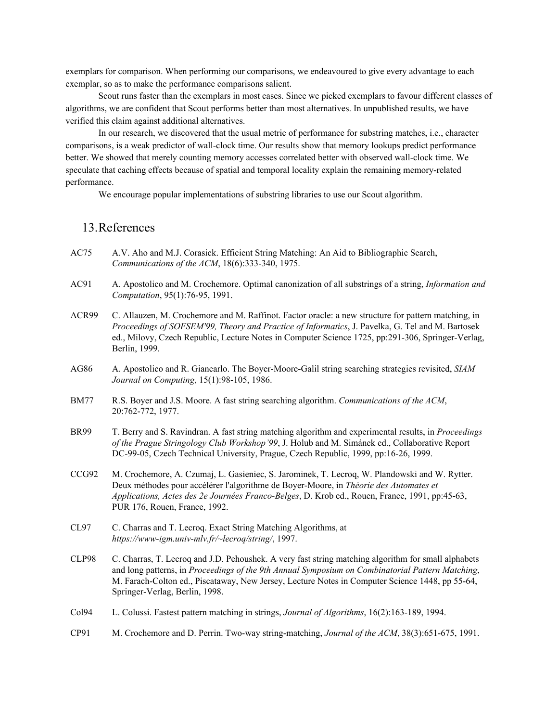exemplars for comparison. When performing our comparisons, we endeavoured to give every advantage to each exemplar, so as to make the performance comparisons salient.

Scout runs faster than the exemplars in most cases. Since we picked exemplars to favour different classes of algorithms, we are confident that Scout performs better than most alternatives. In unpublished results, we have verified this claim against additional alternatives.

In our research, we discovered that the usual metric of performance for substring matches, i.e., character comparisons, is a weak predictor of wall-clock time. Our results show that memory lookups predict performance better. We showed that merely counting memory accesses correlated better with observed wall-clock time. We speculate that caching effects because of spatial and temporal locality explain the remaining memory-related performance.

We encourage popular implementations of substring libraries to use our Scout algorithm.

## <span id="page-16-0"></span>13.References

- AC75 A.V. Aho and M.J. Corasick. Efficient String Matching: An Aid to Bibliographic Search, *Communications of the ACM*, 18(6):333-340, 1975.
- AC91 A. Apostolico and M. Crochemore. Optimal canonization of all substrings of a string, *Information and Computation*, 95(1):76-95, 1991.
- ACR99 C. Allauzen, M. Crochemore and M. Raffinot. Factor oracle: a new structure for pattern matching, in *Proceedings of SOFSEM'99, Theory and Practice of Informatics*, J. Pavelka, G. Tel and M. Bartosek ed., Milovy, Czech Republic, Lecture Notes in Computer Science 1725, pp:291-306, Springer-Verlag, Berlin, 1999.
- AG86 A. Apostolico and R. Giancarlo. The Boyer-Moore-Galil string searching strategies revisited, *SIAM Journal on Computing*, 15(1):98-105, 1986.
- BM77 R.S. Boyer and J.S. Moore. A fast string searching algorithm. *Communications of the ACM*, 20:762-772, 1977.
- BR99 T. Berry and S. Ravindran. A fast string matching algorithm and experimental results, in *Proceedings of the Prague Stringology Club Workshop'99*, J. Holub and M. Simánek ed., Collaborative Report DC-99-05, Czech Technical University, Prague, Czech Republic, 1999, pp:16-26, 1999.
- CCG92 M. Crochemore, A. Czumaj, L. Gasieniec, S. Jarominek, T. Lecroq, W. Plandowski and W. Rytter. Deux méthodes pour accélérer l'algorithme de Boyer-Moore, in *Théorie des Automates et Applications, Actes des 2e Journées Franco-Belges*, D. Krob ed., Rouen, France, 1991, pp:45-63, PUR 176, Rouen, France, 1992.
- CL97 C. Charras and T. Lecroq. Exact String Matching Algorithms, at *https://www-igm.univ-mlv.fr/~lecroq/string/*, 1997.
- CLP98 C. Charras, T. Lecroq and J.D. Pehoushek. A very fast string matching algorithm for small alphabets and long patterns, in *Proceedings of the 9th Annual Symposium on Combinatorial Pattern Matching*, M. Farach-Colton ed., Piscataway, New Jersey, Lecture Notes in Computer Science 1448, pp 55-64, Springer-Verlag, Berlin, 1998.
- Col94 L. Colussi. Fastest pattern matching in strings, *Journal of Algorithms*, 16(2):163-189, 1994.
- CP91 M. Crochemore and D. Perrin. Two-way string-matching, *Journal of the ACM*, 38(3):651-675, 1991.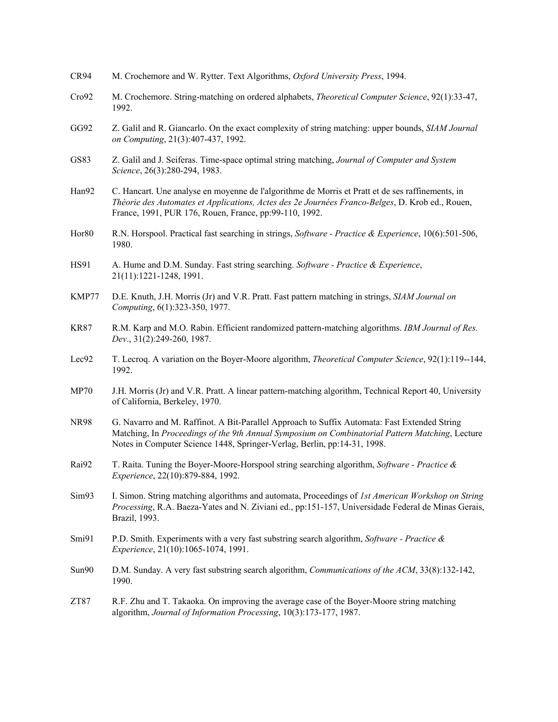- CR94 M. Crochemore and W. Rytter. Text Algorithms, *Oxford University Press*, 1994.
- Cro92 M. Crochemore. String-matching on ordered alphabets, *Theoretical Computer Science*, 92(1):33-47, 1992.
- GG92 Z. Galil and R. Giancarlo. On the exact complexity of string matching: upper bounds, *SIAM Journal on Computing*, 21(3):407-437, 1992.
- GS83 Z. Galil and J. Seiferas. Time-space optimal string matching, *Journal of Computer and System Science*, 26(3):280-294, 1983.
- Han92 C. Hancart. Une analyse en moyenne de l'algorithme de Morris et Pratt et de ses raffinements, in *Théorie des Automates et Applications, Actes des 2e Journées Franco-Belges*, D. Krob ed., Rouen, France, 1991, PUR 176, Rouen, France, pp:99-110, 1992.
- Hor80 R.N. Horspool. Practical fast searching in strings, *Software - Practice & Experience*, 10(6):501-506, 1980.
- HS91 A. Hume and D.M. Sunday. Fast string searching. *Software - Practice & Experience*, 21(11):1221-1248, 1991.
- KMP77 D.E. Knuth, J.H. Morris (Jr) and V.R. Pratt. Fast pattern matching in strings, *SIAM Journal on Computing*, 6(1):323-350, 1977.
- KR87 R.M. Karp and M.O. Rabin. Efficient randomized pattern-matching algorithms. *IBM Journal of Res. Dev*., 31(2):249-260, 1987.
- Lec92 T. Lecroq. A variation on the Boyer-Moore algorithm, *Theoretical Computer Science*, 92(1):119--144, 1992.
- MP70 J.H. Morris (Jr) and V.R. Pratt. A linear pattern-matching algorithm, Technical Report 40, University of California, Berkeley, 1970.
- NR98 G. Navarro and M. Raffinot. A Bit-Parallel Approach to Suffix Automata: Fast Extended String Matching, In *Proceedings of the 9th Annual Symposium on Combinatorial Pattern Matching*, Lecture Notes in Computer Science 1448, Springer-Verlag, Berlin, pp:14-31, 1998.
- Rai92 T. Raita. Tuning the Boyer-Moore-Horspool string searching algorithm, *Software - Practice & Experience*, 22(10):879-884, 1992.
- Sim93 I. Simon. String matching algorithms and automata, Proceedings of *1st American Workshop on String Processing*, R.A. Baeza-Yates and N. Ziviani ed., pp:151-157, Universidade Federal de Minas Gerais, Brazil, 1993.
- Smi91 P.D. Smith. Experiments with a very fast substring search algorithm, *Software - Practice & Experience*, 21(10):1065-1074, 1991.
- Sun90 D.M. Sunday. A very fast substring search algorithm, *Communications of the ACM*, 33(8):132-142, 1990.
- ZT87 R.F. Zhu and T. Takaoka. On improving the average case of the Boyer-Moore string matching algorithm, *Journal of Information Processing*, 10(3):173-177, 1987.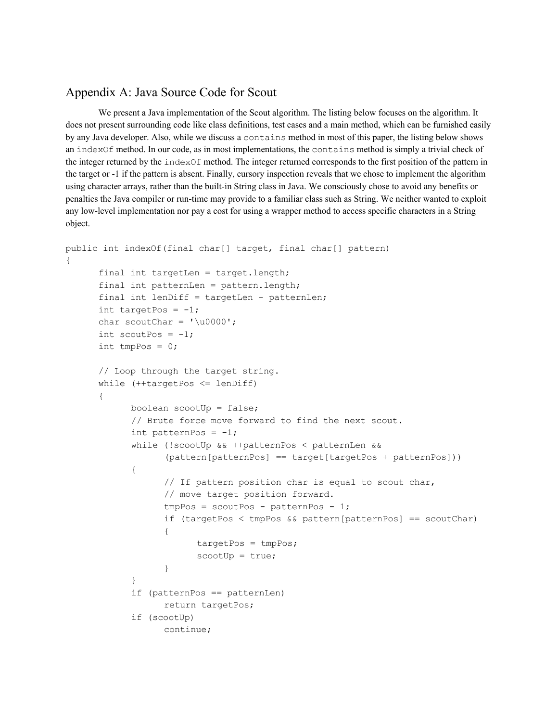## <span id="page-18-0"></span>Appendix A: Java Source Code for Scout

We present a Java implementation of the Scout algorithm. The listing below focuses on the algorithm. It does not present surrounding code like class definitions, test cases and a main method, which can be furnished easily by any Java developer. Also, while we discuss a contains method in most of this paper, the listing below shows an indexOf method. In our code, as in most implementations, the contains method is simply a trivial check of the integer returned by the indexOf method. The integer returned corresponds to the first position of the pattern in the target or -1 if the pattern is absent. Finally, cursory inspection reveals that we chose to implement the algorithm using character arrays, rather than the built-in String class in Java. We consciously chose to avoid any benefits or penalties the Java compiler or run-time may provide to a familiar class such as String. We neither wanted to exploit any low-level implementation nor pay a cost for using a wrapper method to access specific characters in a String object.

```
public int indexOf(final char[] target, final char[] pattern)
{
      final int targetLen = target.length;
      final int patternLen = pattern.length;
      final int lenDiff = targetLen - patternLen;
      int targetPos = -1;
      char scoutChar = '\u0000';int scoutPos = -1;
      int tmpPos = 0;
      // Loop through the target string.
      while (++targetPos <= lenDiff)
      {
            boolean scootUp = false;
            // Brute force move forward to find the next scout.
            int patternPos = -1;
            while (!scootUp && ++patternPos < patternLen &&
                   (pattern[patternPos] == target[targetPos + patternPos]))
            {
                  // If pattern position char is equal to scout char,
                  // move target position forward.
                  tmpPos = scountPos - patternPos - 1;if (targetPos < tmpPos && pattern[patternPos] == scoutChar)
                   {
                         targetPos = tmpPos;
                         scoreUp = true;}
            }
            if (patternPos == patternLen)
                  return targetPos;
            if (scootUp)
                  continue;
```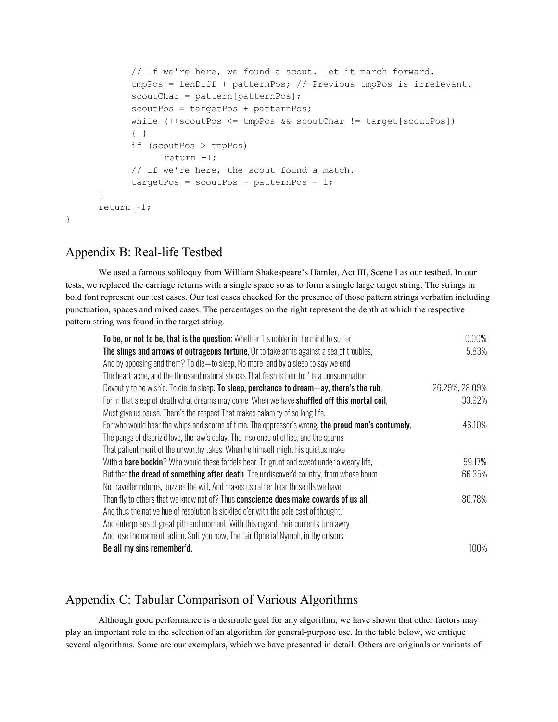```
// If we're here, we found a scout. Let it march forward.
            tmpPos = lenDiff + patternPos; // Previous tmpPos is irrelevant.
            scoutChar = pattern[patternPos];
            scoutPos = targetPos + patternPos;
            while (++scoutPos <= tmpPos && scoutChar != target[scoutPos])
            { }
            if (scoutPos > tmpPos)
                  return -1;
            // If we're here, the scout found a match.
            targetPos = scountPos - patternPos - 1;}
      return -1;
}
```
## <span id="page-19-0"></span>Appendix B: Real-life Testbed

We used a famous soliloquy from William Shakespeare's Hamlet, Act III, Scene I as our testbed. In our tests, we replaced the carriage returns with a single space so as to form a single large target string. The strings in bold font represent our test cases. Our test cases checked for the presence of those pattern strings verbatim including punctuation, spaces and mixed cases. The percentages on the right represent the depth at which the respective pattern string was found in the target string.

| To be, or not to be, that is the question: Whether 'tis nobler in the mind to suffer                 | $0.00\%$       |
|------------------------------------------------------------------------------------------------------|----------------|
| The slings and arrows of outrageous fortune, Or to take arms against a sea of troubles,              | 5.83%          |
| And by opposing end them? To die—to sleep, No more; and by a sleep to say we end                     |                |
| The heart-ache, and the thousand natural shocks That flesh is heir to: 'tis a consummation           |                |
| Devoutly to be wish'd. To die, to sleep. To sleep, perchance to dream—ay, there's the rub,           | 26.29%, 28.09% |
| For in that sleep of death what dreams may come, When we have <b>shuffled off this mortal coil</b> , | 33.92%         |
| Must give us pause. There's the respect That makes calamity of so long life.                         |                |
| For who would bear the whips and scorns of time, The oppressor's wrong, the proud man's contumely,   | 46.10%         |
| The pangs of dispriz'd love, the law's delay, The insolence of office, and the spurns                |                |
| That patient merit of the unworthy takes, When he himself might his quietus make                     |                |
| With a <b>bare bodkin</b> ? Who would these fardels bear, To grunt and sweat under a weary life,     | 59.17%         |
| But that the dread of something after death, The undiscover'd country, from whose bourn              | 66.35%         |
| No traveller returns, puzzles the will, And makes us rather bear those ills we have                  |                |
| Than fly to others that we know not of? Thus conscience does make cowards of us all,                 | 80.78%         |
| And thus the native hue of resolution Is sicklied o'er with the pale cast of thought,                |                |
| And enterprises of great pith and moment, With this regard their currents turn awry                  |                |
| And lose the name of action. Soft you now, The fair Ophelia! Nymph, in thy orisons                   |                |
| Be all my sins remember'd.                                                                           | $100\%$        |

## <span id="page-19-1"></span>Appendix C: Tabular Comparison of Various Algorithms

Although good performance is a desirable goal for any algorithm, we have shown that other factors may play an important role in the selection of an algorithm for general-purpose use. In the table below, we critique several algorithms. Some are our exemplars, which we have presented in detail. Others are originals or variants of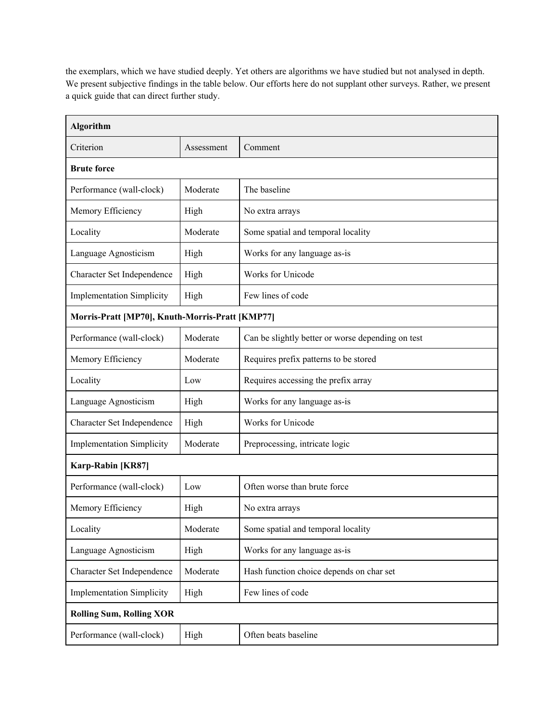the exemplars, which we have studied deeply. Yet others are algorithms we have studied but not analysed in depth. We present subjective findings in the table below. Our efforts here do not supplant other surveys. Rather, we present a quick guide that can direct further study.

| <b>Algorithm</b>                                |            |                                                   |
|-------------------------------------------------|------------|---------------------------------------------------|
| Criterion                                       | Assessment | Comment                                           |
| <b>Brute force</b>                              |            |                                                   |
| Performance (wall-clock)                        | Moderate   | The baseline                                      |
| Memory Efficiency                               | High       | No extra arrays                                   |
| Locality                                        | Moderate   | Some spatial and temporal locality                |
| Language Agnosticism                            | High       | Works for any language as-is                      |
| Character Set Independence                      | High       | Works for Unicode                                 |
| <b>Implementation Simplicity</b>                | High       | Few lines of code                                 |
| Morris-Pratt [MP70], Knuth-Morris-Pratt [KMP77] |            |                                                   |
| Performance (wall-clock)                        | Moderate   | Can be slightly better or worse depending on test |
| Memory Efficiency                               | Moderate   | Requires prefix patterns to be stored             |
| Locality                                        | Low        | Requires accessing the prefix array               |
| Language Agnosticism                            | High       | Works for any language as-is                      |
| Character Set Independence                      | High       | Works for Unicode                                 |
| <b>Implementation Simplicity</b>                | Moderate   | Preprocessing, intricate logic                    |
| Karp-Rabin [KR87]                               |            |                                                   |
| Performance (wall-clock)                        | Low        | Often worse than brute force                      |
| Memory Efficiency                               | High       | No extra arrays                                   |
| Locality                                        | Moderate   | Some spatial and temporal locality                |
| Language Agnosticism                            | High       | Works for any language as-is                      |
| Character Set Independence                      | Moderate   | Hash function choice depends on char set          |
| <b>Implementation Simplicity</b>                | High       | Few lines of code                                 |
| <b>Rolling Sum, Rolling XOR</b>                 |            |                                                   |
| Performance (wall-clock)                        | High       | Often beats baseline                              |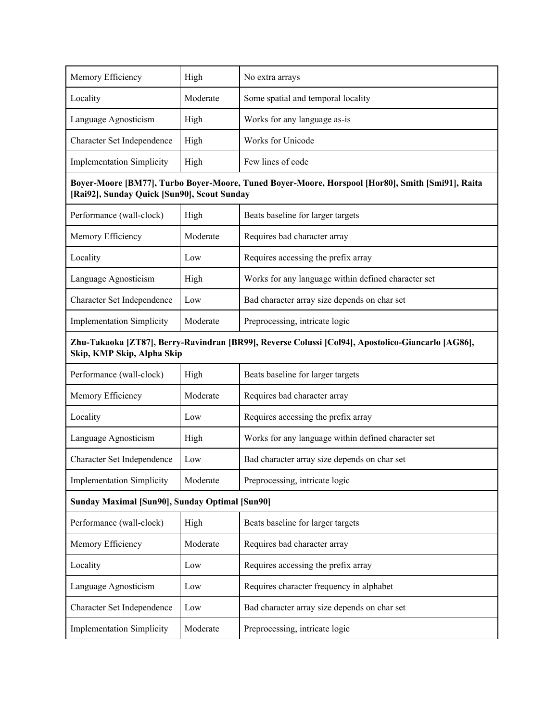| Memory Efficiency                              | High     | No extra arrays                                                                                   |
|------------------------------------------------|----------|---------------------------------------------------------------------------------------------------|
| Locality                                       | Moderate | Some spatial and temporal locality                                                                |
| Language Agnosticism                           | High     | Works for any language as-is                                                                      |
| Character Set Independence                     | High     | Works for Unicode                                                                                 |
| <b>Implementation Simplicity</b>               | High     | Few lines of code                                                                                 |
| [Rai92], Sunday Quick [Sun90], Scout Sunday    |          | Boyer-Moore [BM77], Turbo Boyer-Moore, Tuned Boyer-Moore, Horspool [Hor80], Smith [Smi91], Raita  |
| Performance (wall-clock)                       | High     | Beats baseline for larger targets                                                                 |
| Memory Efficiency                              | Moderate | Requires bad character array                                                                      |
| Locality                                       | Low      | Requires accessing the prefix array                                                               |
| Language Agnosticism                           | High     | Works for any language within defined character set                                               |
| Character Set Independence                     | Low      | Bad character array size depends on char set                                                      |
| <b>Implementation Simplicity</b>               | Moderate | Preprocessing, intricate logic                                                                    |
| Skip, KMP Skip, Alpha Skip                     |          | Zhu-Takaoka [ZT87], Berry-Ravindran [BR99], Reverse Colussi [Col94], Apostolico-Giancarlo [AG86], |
| Performance (wall-clock)                       | High     | Beats baseline for larger targets                                                                 |
| Memory Efficiency                              | Moderate | Requires bad character array                                                                      |
| Locality                                       | Low      | Requires accessing the prefix array                                                               |
| Language Agnosticism                           | High     | Works for any language within defined character set                                               |
| Character Set Independence                     | Low      | Bad character array size depends on char set                                                      |
| <b>Implementation Simplicity</b>               | Moderate | Preprocessing, intricate logic                                                                    |
| Sunday Maximal [Sun90], Sunday Optimal [Sun90] |          |                                                                                                   |
| Performance (wall-clock)                       | High     | Beats baseline for larger targets                                                                 |
| Memory Efficiency                              | Moderate | Requires bad character array                                                                      |
| Locality                                       | Low      | Requires accessing the prefix array                                                               |
| Language Agnosticism                           | Low      | Requires character frequency in alphabet                                                          |
| Character Set Independence                     | Low      | Bad character array size depends on char set                                                      |
| <b>Implementation Simplicity</b>               | Moderate | Preprocessing, intricate logic                                                                    |
|                                                |          |                                                                                                   |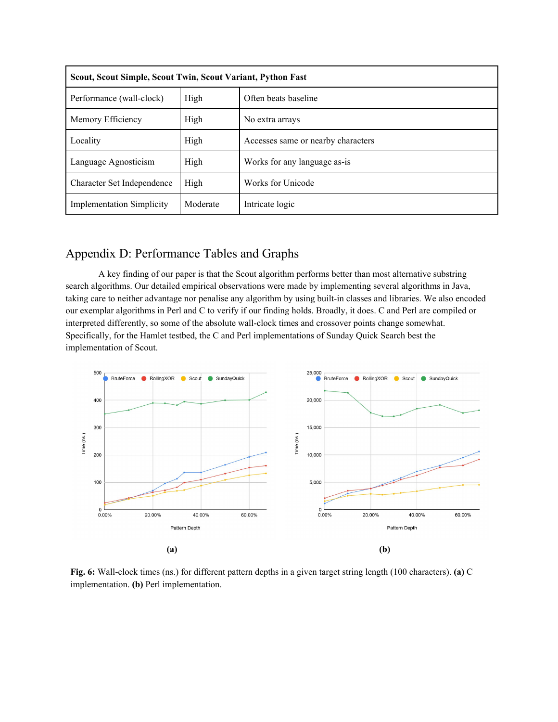| Scout, Scout Simple, Scout Twin, Scout Variant, Python Fast |          |                                    |  |  |  |  |  |  |  |  |
|-------------------------------------------------------------|----------|------------------------------------|--|--|--|--|--|--|--|--|
| Performance (wall-clock)                                    | High     | Often beats baseline               |  |  |  |  |  |  |  |  |
| Memory Efficiency                                           | High     | No extra arrays                    |  |  |  |  |  |  |  |  |
| Locality                                                    | High     | Accesses same or nearby characters |  |  |  |  |  |  |  |  |
| Language Agnosticism                                        | High     | Works for any language as-is       |  |  |  |  |  |  |  |  |
| Character Set Independence                                  | High     | Works for Unicode                  |  |  |  |  |  |  |  |  |
| <b>Implementation Simplicity</b>                            | Moderate | Intricate logic                    |  |  |  |  |  |  |  |  |

## <span id="page-22-0"></span>Appendix D: Performance Tables and Graphs

A key finding of our paper is that the Scout algorithm performs better than most alternative substring search algorithms. Our detailed empirical observations were made by implementing several algorithms in Java, taking care to neither advantage nor penalise any algorithm by using built-in classes and libraries. We also encoded our exemplar algorithms in Perl and C to verify if our finding holds. Broadly, it does. C and Perl are compiled or interpreted differently, so some of the absolute wall-clock times and crossover points change somewhat. Specifically, for the Hamlet testbed, the C and Perl implementations of Sunday Quick Search best the implementation of Scout.



**Fig. 6:** Wall-clock times (ns.) for different pattern depths in a given target string length (100 characters). **(a)** C implementation. **(b)** Perl implementation.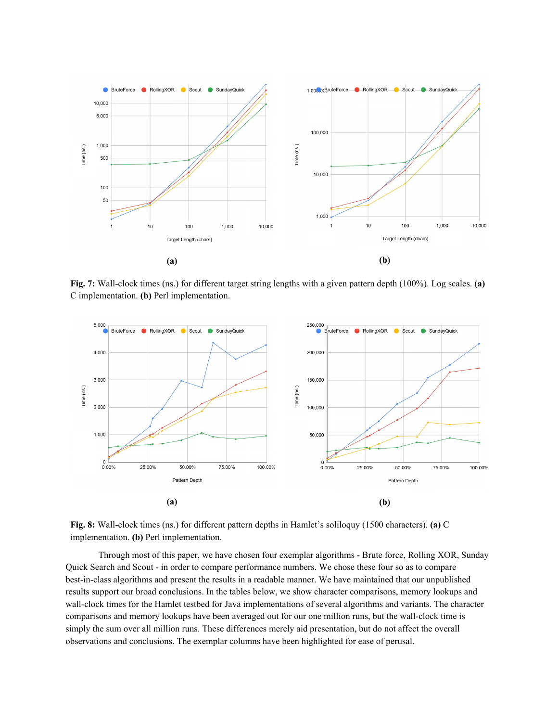

**Fig. 7:** Wall-clock times (ns.) for different target string lengths with a given pattern depth (100%). Log scales. **(a)** C implementation. **(b)** Perl implementation.



**Fig. 8:** Wall-clock times (ns.) for different pattern depths in Hamlet's soliloquy (1500 characters). **(a)** C implementation. **(b)** Perl implementation.

Through most of this paper, we have chosen four exemplar algorithms - Brute force, Rolling XOR, Sunday Quick Search and Scout - in order to compare performance numbers. We chose these four so as to compare best-in-class algorithms and present the results in a readable manner. We have maintained that our unpublished results support our broad conclusions. In the tables below, we show character comparisons, memory lookups and wall-clock times for the Hamlet testbed for Java implementations of several algorithms and variants. The character comparisons and memory lookups have been averaged out for our one million runs, but the wall-clock time is simply the sum over all million runs. These differences merely aid presentation, but do not affect the overall observations and conclusions. The exemplar columns have been highlighted for ease of perusal.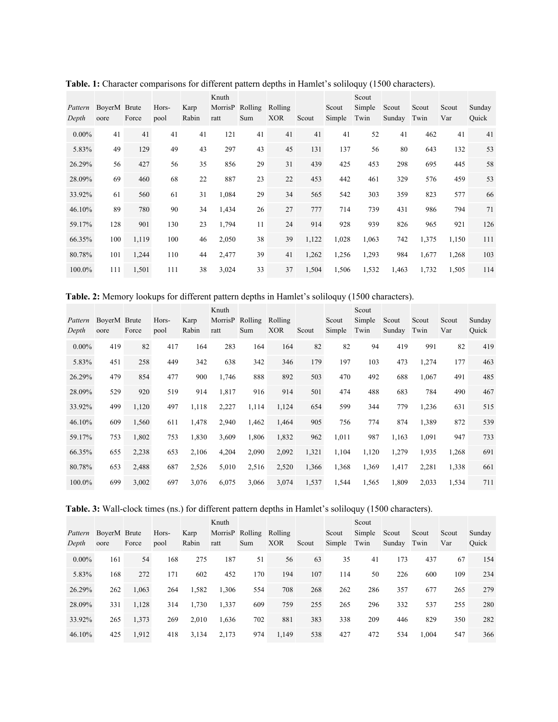| Pattern<br>Depth | BoverM Brute<br>oore | Force | Hors-<br>pool | Karp<br>Rabin | Knuth<br>MorrisP<br>ratt | Rolling<br>Sum | Rolling<br><b>XOR</b> | Scout | Scout<br>Simple | Scout<br>Simple<br>Twin | Scout<br>Sunday | Scout<br>Twin | Scout<br>Var | Sunday<br>Ouick |
|------------------|----------------------|-------|---------------|---------------|--------------------------|----------------|-----------------------|-------|-----------------|-------------------------|-----------------|---------------|--------------|-----------------|
| $0.00\%$         | 41                   | 41    | 41            | 41            | 121                      | 41             | 41                    | 41    | 41              | 52                      | 41              | 462           | 41           | 41              |
| 5.83%            | 49                   | 129   | 49            | 43            | 297                      | 43             | 45                    | 131   | 137             | 56                      | 80              | 643           | 132          | 53              |
| 26.29%           | 56                   | 427   | 56            | 35            | 856                      | 29             | 31                    | 439   | 425             | 453                     | 298             | 695           | 445          | 58              |
| 28.09%           | 69                   | 460   | 68            | 22            | 887                      | 23             | 22                    | 453   | 442             | 461                     | 329             | 576           | 459          | 53              |
| 33.92%           | 61                   | 560   | 61            | 31            | 1,084                    | 29             | 34                    | 565   | 542             | 303                     | 359             | 823           | 577          | 66              |
| 46.10%           | 89                   | 780   | 90            | 34            | 1,434                    | 26             | 27                    | 777   | 714             | 739                     | 431             | 986           | 794          | 71              |
| 59.17%           | 128                  | 901   | 130           | 23            | 1,794                    | 11             | 24                    | 914   | 928             | 939                     | 826             | 965           | 921          | 126             |
| 66.35%           | 100                  | 1,119 | 100           | 46            | 2,050                    | 38             | 39                    | 1,122 | 1,028           | 1,063                   | 742             | 1,375         | 1,150        | 111             |
| 80.78%           | 101                  | 1,244 | 110           | 44            | 2,477                    | 39             | 41                    | 1,262 | 1,256           | 1,293                   | 984             | 1,677         | 1,268        | 103             |
| 100.0%           | 111                  | 1,501 | 111           | 38            | 3,024                    | 33             | 37                    | 1,504 | 1,506           | 1,532                   | 1,463           | 1,732         | 1,505        | 114             |

**Table. 1:** Character comparisons for different pattern depths in Hamlet's soliloquy (1500 characters).

**Table. 2:** Memory lookups for different pattern depths in Hamlet's soliloquy (1500 characters).

|          |              |       |       |       | Knuth           |       |            |       |        | Scout  |        |       |       |        |
|----------|--------------|-------|-------|-------|-----------------|-------|------------|-------|--------|--------|--------|-------|-------|--------|
| Pattern  | BoverM Brute |       | Hors- | Karp  | MorrisP Rolling |       | Rolling    |       | Scout  | Simple | Scout  | Scout | Scout | Sunday |
| Depth    | oore         | Force | pool  | Rabin | ratt            | Sum   | <b>XOR</b> | Scout | Simple | Twin   | Sunday | Twin  | Var   | Ouick  |
| $0.00\%$ | 419          | 82    | 417   | 164   | 283             | 164   | 164        | 82    | 82     | 94     | 419    | 991   | 82    | 419    |
| 5.83%    | 451          | 258   | 449   | 342   | 638             | 342   | 346        | 179   | 197    | 103    | 473    | 1,274 | 177   | 463    |
| 26.29%   | 479          | 854   | 477   | 900   | 1,746           | 888   | 892        | 503   | 470    | 492    | 688    | 1,067 | 491   | 485    |
| 28.09%   | 529          | 920   | 519   | 914   | 1,817           | 916   | 914        | 501   | 474    | 488    | 683    | 784   | 490   | 467    |
| 33.92%   | 499          | 1,120 | 497   | 1,118 | 2,227           | 1,114 | 1,124      | 654   | 599    | 344    | 779    | 1,236 | 631   | 515    |
| 46.10%   | 609          | 1,560 | 611   | 1,478 | 2,940           | 1,462 | 1,464      | 905   | 756    | 774    | 874    | 1,389 | 872   | 539    |
| 59.17%   | 753          | 1,802 | 753   | 1,830 | 3,609           | 1,806 | 1,832      | 962   | 1,011  | 987    | 1,163  | 1,091 | 947   | 733    |
| 66.35%   | 655          | 2,238 | 653   | 2,106 | 4,204           | 2,090 | 2,092      | 1,321 | 1,104  | 1,120  | 1,279  | 1,935 | 1,268 | 691    |
| 80.78%   | 653          | 2,488 | 687   | 2,526 | 5,010           | 2,516 | 2,520      | 1,366 | 1,368  | 1,369  | 1,417  | 2,281 | 1,338 | 661    |
| 100.0%   | 699          | 3,002 | 697   | 3,076 | 6,075           | 3,066 | 3,074      | 1,537 | 1,544  | 1,565  | 1,809  | 2,033 | 1,534 | 711    |

| Table. 3: Wall-clock times (ns.) for different pattern depths in Hamlet's soliloquy (1500 characters). |  |  |  |  |  |  |
|--------------------------------------------------------------------------------------------------------|--|--|--|--|--|--|
|                                                                                                        |  |  |  |  |  |  |

|          |              |       |       |       | Knuth           |     |            |       |        | Scout  |        |       |       |        |
|----------|--------------|-------|-------|-------|-----------------|-----|------------|-------|--------|--------|--------|-------|-------|--------|
| Pattern  | BoverM Brute |       | Hors- | Karp  | MorrisP Rolling |     | Rolling    |       | Scout  | Simple | Scout  | Scout | Scout | Sunday |
| Depth    | oore         | Force | pool  | Rabin | ratt            | Sum | <b>XOR</b> | Scout | Simple | Twin   | Sunday | Twin  | Var   | Ouick  |
| $0.00\%$ | 161          | 54    | 168   | 275   | 187             | 51  | 56         | 63    | 35     | 41     | 173    | 437   | 67    | 154    |
| 5.83%    | 168          | 272   | 171   | 602   | 452             | 170 | 194        | 107   | 114    | 50     | 226    | 600   | 109   | 234    |
| 26.29%   | 262          | 1,063 | 264   | 1,582 | 1.306           | 554 | 708        | 268   | 262    | 286    | 357    | 677   | 265   | 279    |
| 28.09%   | 331          | 1,128 | 314   | 1,730 | 1,337           | 609 | 759        | 255   | 265    | 296    | 332    | 537   | 255   | 280    |
| 33.92%   | 265          | 1,373 | 269   | 2,010 | 1,636           | 702 | 881        | 383   | 338    | 209    | 446    | 829   | 350   | 282    |
| 46.10%   | 425          | 1,912 | 418   | 3,134 | 2,173           | 974 | 1,149      | 538   | 427    | 472    | 534    | 1,004 | 547   | 366    |